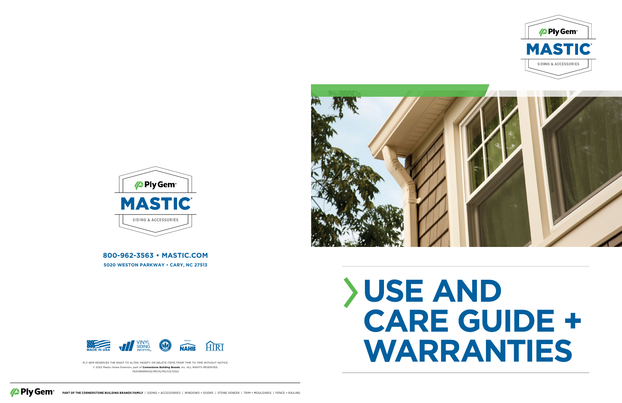PLY GEM RESERVES THE RIGHT TO ALTER, MODIFY OR DELETE ITEMS FROM TIME TO TIME WITHOUT NOTICE. © 2022 Mastic Home Exteriors, part of **Cornerstone Building Brands**, Inc. ALL RIGHTS RESERVED. 7601089991202/REVG/MS/CG/0322





# CARE GUIDE + WARRANTIES







**800-962-3563 • MASTIC.COM**

**5020 WESTON PARKWAY • CARY, NC 27513**

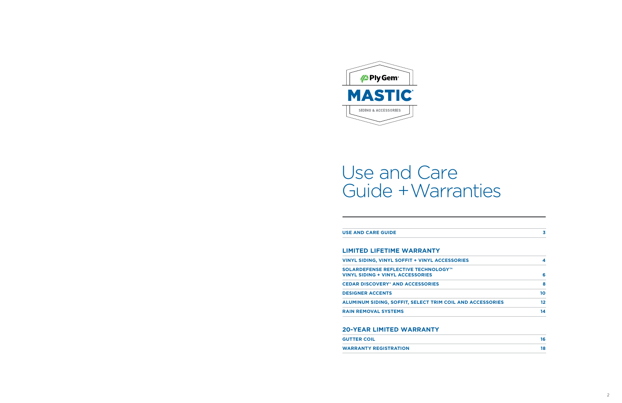**USE AND CARE GUIDE 3**

#### **LIMITED LIFETIME WARRANTY**

**VINYL SIDING, VINYL SOFFIT + VINYL ACCESSOR** 

**SOLARDEFENSE REFLECTIVE TECHNOLOGY™ VINYL SIDING + VINYL ACCESSORIES 6**

**CEDAR DISCOVERY® AND ACCESSORIES 8**

**DESIGNER ACCENTS 10**

**ALUMINUM SIDING, SOFFIT, SELECT TRIM COIL** 

**RAIN REMOVAL SYSTEMS 14**

#### **20-YEAR LIMITED WARRANTY**

**GUTTER COIL 16**

**WARRANTY REGISTRATION 18**

|                        | 3  |
|------------------------|----|
|                        |    |
|                        |    |
| <b>RIES</b>            | 4  |
|                        | 6  |
|                        | 8  |
|                        | 10 |
| <b>AND ACCESSORIES</b> | 12 |
|                        | 14 |
|                        |    |

| 16 |
|----|
| 18 |
|    |



# Use and Care Guide + Warranties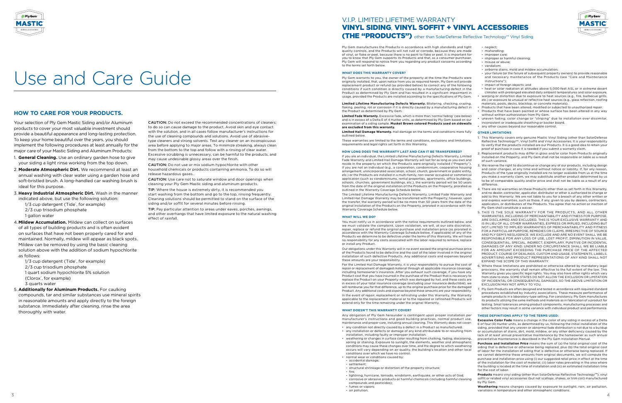

Your selection of Ply Gem Mastic Siding and/or Aluminum products to cover your most valuable investment should provide a beautiful appearance and long-lasting protection. To keep your home beautiful over the years, you should implement the following procedures at least annually for the major care of your Mastic Siding and Aluminum Products:

1/3 cup detergent (Tide<sup>\*</sup>, for example) 2/3 cup trisodium phosphate 1 gallon water

- 1. **General Cleaning.** Use an ordinary garden hose to give your siding a light rinse working from the top down.
- 2. **Moderate Atmospheric Dirt.** We recommend at least an annual washing with clear water using a garden hose and soft-bristled brush. A long-handled car washing brush is ideal for this purpose.
- 3. **Heavy Industrial Atmospheric Dirt.** Wash in the manner indicated above, but use the following solution:

1/3 cup detergent (Tide<sup>\*</sup>, for example) 2/3 cup trisodium phosphate 1 quart sodium hypochlorite 5% solution (Clorox<sup>\*</sup>, for example) 3 quarts water

4.**Mildew Accumulation.** Mildew can collect on surfaces of all types of building products and is often evident on surfaces that have not been properly cared for and maintained. Normally, mildew will appear as black spots. Mildew can be removed by using the basic cleaning solution above with the addition of sodium hypochlorite as follows:

5. **Additionally for Aluminum Products.** For caulking compounds, tar and similar substances use mineral spirits in reasonable amounts and apply directly to the foreign substance. Immediately after cleaning, rinse the area thoroughly with water.

CAUTION: Do not exceed the recommended concentrations of cleaners; to do so can cause damage to the product. Avoid skin and eye contact with the solution, and in all cases follow manufacturer's instructions for the use of cleaning compounds and solutions. Avoid use of abrasivetype cleaners and strong solvents. Test any cleaner on an inconspicuous area before applying to major areas. To minimize streaking, always clean from the bottom to the top and follow with a rinsing of clear water. Excessive scrubbing is unnecessary, can be harmful to the products, and may cause undesirable glossy areas over the finish.

CAUTION: Do not use or mix sodium hypochlorite with other household chemicals or products containing ammonia. To do so will release hazardous gases.

CAUTION: Use care not to saturate window and door openings when cleaning your Ply Gem Mastic siding and aluminum products.

TIP: Where the house is extremely dirty, it is recommended you start washing from the bottom and go to the top, rinsing frequently. Cleaning solutions should be permitted to stand on the surface of the siding and/or soffit for several minutes before rinsing.

TIP: Pay particular attention to areas under eaves, porches, awnings, and other overhangs that have limited exposure to the natural washing effect of rainfall.

### **HOW TO CARE FOR YOUR PRODUCTS.**



# Use and Care Guide

Ply Gem manufactures the Products in accordance with high standards and tight quality controls, and the Products will not rust or corrode, because they are made of vinyl, or flake or peel, because there is no paint to flake or peel. It is important for you to know that Ply Gem supports its Products and that, as a consumer-purchaser, Ply Gem will respond to notice from you regarding any product concerns according to the terms set forth below.

#### **WHAT DOES THIS WARRANTY COVER?**

Ply Gem warrants to you, the owner of the property at the time the Products were originally installed, that, upon notice from you as required herein, Ply Gem will provide replacement product or refund (as provided below) to correct any of the following conditions if such condition is directly caused by a manufacturing defect in the Product as determined by Ply Gem and has resulted in a significant impairment in usage, provided the Products are installed according to the specifications of Ply Gem.

**Limited Lifetime Manufacturing Defects Warranty.** Blistering, checking, crazing, flaking, peeling, rot or corrosion if it is directly caused by a manufacturing defect in the Product as determined by Ply Gem.

**Limited Fade Warranty.** Excessive fade, which is more than 'normal fading' (see below) and is in excess of a Delta E of 4 Hunter units, as determined by Ply Gem based on our examination of a siding sample. **Musket Brown colored Products used on sidewalls are excluded from this warranty.**

**Limited Hail Damage Warranty.** Hail damage on the terms and conditions more fully outlined below.

These warranties are limited to the terms and conditions, exclusions and limitations, requirements and legal rights set forth in this Warranty.

#### **HOW LONG DOES THE WARRANTY LAST AND CAN IT BE TRANSFERRED?**

If you are an individual, the Limited Lifetime Manufacturing Defects Warranty, Limited Fade Warranty and Limited Hail Damage Warranty will last for as long as you own and reside in the property on which the Products were originally installed ("Property"). If you are not an individual (e.g., a corporation, condominium, cooperative housing arrangement, unincorporated association, school, church, government or public entity, etc.) or the Products are installed in a multi-family, non-owner occupied or commercial application (such as condominiums, rental properties, apartments, office buildings, schools, churches, government buildings, etc.), the warranty period will be 50 years from the date of the original installation of the Products on the Property, prorated as outlined in the Warranty Coverage Schedule below.

The Limited Lifetime Manufacturing Defects Warranty, Limited Fade Warranty and Limited Hail Damage Warranty may be transferred with the Property; however, upon the transfer, the warranty period will be no more than 50 years from the date of the original installation of the Products on the Property, prorated in accordance with the Warranty Coverage Schedule below.

#### **WHAT WILL WE DO?**

You must notify us in accordance with the notice requirements outlined below, and we must validate the complaint. Upon validation, we will, at our sole discretion, repair, replace or refund the original purchase and installation price (as prorated in accordance with the Warranty Coverage Schedule below, if applicable) of any of the Products we determine to be defective under the terms of this Warranty. We will have no responsibility for any costs associated with the labor required to remove, replace or install any Product.

Our obligations under this Warranty will in no event exceed the original purchase price of the Products found to be defective and the cost of the labor involved in the original installation of such defective Products. Any additional costs and expenses beyond these amounts are your responsibility.

For the Limited Hail Damage Warranty, it is your responsibility to pursue the cost of repair or replacement of damaged material through all applicable insurance coverage, including homeowner's insurance. After you exhaust such coverage, if you have any Product cost that you have incurred in the purchase of the Product that is necessary to replace the Product on your Property which was damaged by hail, and these costs are in excess of your total insurance coverage (excluding your insurance deductible), we will reimburse you for that difference, up to the original purchase price for the damaged Product. Any additional costs and expense beyond these amounts are your responsibility. In the event of repair, replacement or refinishing under this Warranty, the Warranty

> **Products** means vinyl siding (other than SolarDefense Reflective Technology<sup>TM</sup>), vinyl soffit or related vinyl accessories (but not scallops, shakes, or trim coil) manufactured by Ply Gem.

applicable to the replacement material or to the repaired or refinished Products will extend only for the time remaining under the original Warranty.

#### **WHAT DOESN'T THIS WARRANTY COVER?**

Any obligation of Ply Gem hereunder is contingent upon proper installation per manufacturer's instructions and good building practices, normal product use, maintenance and proper care, including annual cleaning. This Warranty does not cover:

- any condition not directly caused by a defect in a Product as manufactured. • any installation or defects or damage of any kind attributable to or resulting from installation, including faulty or improper installation.
- weathering or changes in surface color resulting from chalking, fading, discoloring, soiling or staining. Exposure to sunlight, the elements, weather and atmospheric conditions may cause these changes over time, and the degree to which weathering occurs will vary depending on air quality, the building's location and other local conditions over which we have no control.
- normal wear or conditions caused by:
- accidental damage;
- settlement;
- structural shrinkage or distortion of the property structure;
- fire;
- lightning, hurricane, tornado, windstorm, earthquake, or other acts of God; - corrosive or abrasive products or harmful chemicals (including harmful cleaning compounds and pesticides);
- fumes or vapors;
- air pollution;

- neglect;
- mishandling; - improper care;
- improper or harmful cleaning;
- misuse or abuse;
- vandalism;
- airborne stains, mold and mildew accumulation;
- your failure (or the failure of subsequent property owners) to provide reasonable and necessary maintenance of the Products (see "Care and Maintenance Instructions");
- impact of foreign objects; and
- heat or solar radiation at altitudes above 5,000 feet ASL or in extreme desert climates with prolonged elevated daily ambient temperatures and solar exposure.
- warping or distortion due to exposure to heat sources (e.g., fire, barbecue grills, etc.) or exposure to unusual or reflective heat sources (e.g., glass reflection, roofing materials, pools, decks, blacktop, or concrete materials).
- Products that have been altered, modified or subjected to unauthorized repair.
- Products that have been painted or whose surface has been altered in any way without written authorization from Ply Gem.
- uneven fading, color change or "striping" due to installation over dissimilar, inconsistent or inadequate sheathing or backer board. any other causes beyond our reasonable control.
- **OTHER LIMITATIONS**
- 1. This Warranty covers only genuine Mastic Vinyl Siding (other than SolarDefense Reflective Technology<sup>TM</sup>, Vinyl Soffit and Vinyl Accessories. It is your responsibility to verify that the products installed are our Products. It is a good idea to retain your proof of purchase in case it is needed if you submit a warranty claim.
- 2. Replacement products may differ in gloss and/or color from Products originally installed on the Property, and Ply Gem shall not be responsible or liable as a result of such variance.
- 3. We reserve the right to discontinue or change any of our products, including design and color changes, at any time and without notice or liability. If, for any reason, Products of the type originally installed are no longer available from us at the time you make a warranty claim, we may substitute another product determined by us to be of comparable quality and/or price and shall not be liable as a result of any difference.
- 4. There are no warranties on these Products other than as set forth in this Warranty, and no dealer, contractor, applicator, distributor or other is authorized to change or add to this Warranty. We are not liable to you for a breach of any other written or oral express warranties, such as those, if any, given to you by dealers, contractors, applicators, or distributors of the Products. You agree that no action or inaction of Ply Gem shall constitute a waiver.
- 5. THIS IS THE SOLE WARRANTY FOR THE PRODUCTS, AND ALL OTHER WARRANTIES, INCLUDING OF MERCHANTABILITY AND FITNESS FOR PURPOSE, ARE DISCLAIMED AND EXCLUDED. THIS IS YOUR EXCLUSIVE WARRANTY AND IS IN LIEU OF ALL OTHER WARRANTIES, EXPRESS OR IMPLIED, INCLUDING BUT NOT LIMITED TO IMPLIED WARRANTIES OF MERCHANTABILITY AND FITNESS FOR A PARTICULAR PURPOSE, REMEDIES OR CLAIMS, IRRESPECTIVE OF SOURCE AND PLY GEM'S NEGLIGENCE. WE EXCLUDE AND ARE NO EVENT SHALL WE BE RESPONSIBLE FOR ANY LOSS OF USE, LOST PROFIT, DIMINUTION IN VALUE, CONSEQUENTIAL, SPECIAL, INDIRECT, EXEMPLARY, PUNITIVE OR INCIDENTAL DAMAGES OF ANY KIND. UNDER NO CIRCUMSTANCE SHALL WE BE LIABLE FOR AN AMOUNT EXCEEDING THE PURCHASE PRICE OF THE AFFECTED PRODUCT. COURSE OF DEALINGS, CUSTOM AND USAGE, STATEMENTS, LABELS, ADVERTISING AND PRODUCT REPRESENTATIONS OF ANY KIND SHALL NOT EXPAND THE SCOPE OF THIS WARRANTY.
- 6. Where these limitations are prohibited or otherwise altered by mandatory legal provisions, the warranty shall remain effective to the full extent of the law. This Warranty gives you specific legal rights. You may also have other rights which vary from state to state. SOME STATES DO NOT ALLOW THE EXCLUSION OR LIMITATION OF INCIDENTAL OR CONSEQUENTIAL DAMAGES, SO THE ABOVE LIMITATION OR EXCLUSION MAY NOT APPLY TO YOU.
- 7. Ply Gem Products are often designed and tested in accordance with required standard procedures established by industry associations. These measure performance of sample products in a laboratory-type setting. For consistency, Ply Gem manufactures its products utilizing the same methods and materials as in fabrication of a product for testing. Small tolerances among product components, manufacturing processes and other factors may result in some variance with individual product and performance.

#### **THESE DEFINITIONS APPLY TO THE TERMS USED:**

**Excessive Color Fade** means a change in the color of any siding in excess of a Delta E of four (4) Hunter units, as determined by us, following the initial installation of the siding, provided that any uneven or abnormal fade distribution is not due to a buildup or accumulation of stains, dirt, mold, mildew, or any other deficiency caused by the lack of at least annual preventative maintenance by the homeowner as such annual preventative maintenance is described in the Ply Gem Installation Manual.

**Purchase and Installation Price** means the sum of (a) the total original cost of the siding that is defective or otherwise being replaced, plus (b) the total original cost of labor for the installation of siding that is defective or otherwise being replaced. If we cannot determine these amounts from original documents, we will compute the purchase and installation price using (i) our suggested retail price in effect at the time of the installation for the cost of material, (ii) labor rates prevailing in the area where the building is located at the time of installation and (iii) an estimated installation time for the cost of labor.

**Weathering** means changes caused by exposure to sunlight, rain, air pollution, variations in temperature and other atmospheric conditions.

# V.I.P. LIMITED LIFETIME WARRANTY VINYL SIDING, VINYL SOFFIT + VINYL ACCESSORIES (THE "PRODUCTS") other than SolarDefense Reflective Technology™ Vinyl Siding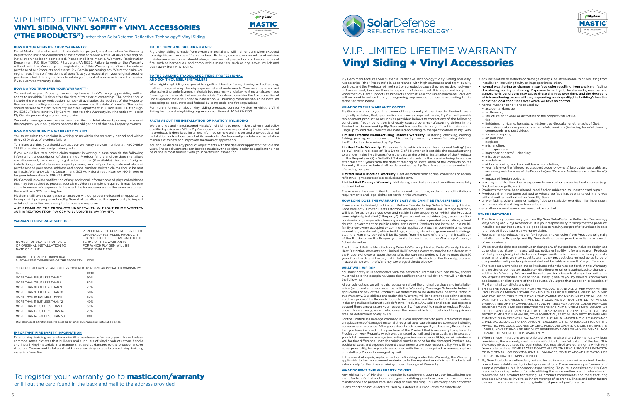#### **HOW DO YOU REGISTER YOUR WARRANTY?**

For all Mastic materials used on this installation project, one Application for Warranty Registration must be completed at mastic.com or mailed within 30 days after original installation has been completed. Please mail it to Mastic, Warranty Registration Department, P.O. Box 110100, Pittsburgh, PA 15232. Failure to register the Warranty will not void the Warranty, but registration of this Warranty confirms the date of purchase of our Products and assists Ply Gem in processing any Warranty claim you might have. This confirmation is of benefit to you, especially if your original proof of purchase is lost. It is a good idea to retain your proof of purchase incase it is needed if you submit a warranty claim.

#### **HOW DO YOU TRANSFER YOUR WARRANTY?**

You and subsequent Property owners may transfer this Warranty by providing written notice to us within 30 days after the date of transfer of ownership. The notice should include the warranty registration number (if available), the address of the Property, the name and mailing address of the new owners and the date of transfer. The notice should be sent to Mastic, Warranty Transfer Department, P.O. Box 110100, Pittsburgh, PA 15232 . Failure to notify Ply Gem will not void the Warranty, but the notice will assist Ply Gem in processing any warranty claim.

Warranty coverage upon transfer is as described in detail above. Upon any transfer of the property, your obligations become the obligations of the new Property owners.

#### **HOW DO YOU SUBMIT A WARRANTY CLAIM?**

You must submit your claim in writing to us within the warranty period and within thirty (30) days of product failure.

To initiate a claim, you should contact our warranty services number at 1-800-962- 3563 to receive a warranty claims packet.

If you would like to submit a claim request in writing, please provide the following nformation: a description of the claimed Product failure and the date the failure was discovered; the warranty registration number (if available); the date of original installation; proof of status as property owner; proof of purchase; date and place of purchase; and your name, address and phone number. Written claims should be sent to Mastic, Warranty Claims Department, 303 W. Major Street, Kearney, MO 64060 or fax your information to 816-426-8210.

Ply Gem will provide notification of any additional information and physical evidence that may be required to process your claim. When a sample is required, it must be sent at the homeowner's expense. In the event the homeowner wants the sample returned, there will be a \$25 handling fee.

Ply Gem shall have no obligation whatsoever without proper notice and an opportunity to respond. Upon proper notice, Ply Gem shall be afforded the opportunity to inspect or take other action necessary to formulate a response.

ANY REPAIR OF THE PRODUCTS UNDERTAKEN WITHOUT PRIOR WRITTEN AUTHORIZATION FROM PLY GEM WILL VOID THIS WARRANTY.

#### **WARRANTY COVERAGE SCHEDULE**

Total claim cost of refund not to exceed original purchase and installation price.

#### **IMPORTANT: FIRE SAFETY INFORMATION**

Exterior vinyl building materials require little maintenance for many years. Nevertheless, common sense dictates that builders and suppliers of vinyl products store, handle and install vinyl materials in a manner that avoids damage to the product and/or structure. Owners and Installers should take a few simple steps to protect vinyl building materials from fire.

# To register your warranty go to **mastic.com/warranty**

**TO THE HOME AND BUILDING OWNER**

Rigid vinyl siding is made from organic material and will melt or burn when exposed to a significant source of flame or heat. Building owners, occupants and outside maintenance personnel should always take normal precautions to keep sources of fire, such as barbecues, and combustible materials, such as dry leaves, mulch and

trash away from vinyl siding.

**TO THE BUILDING TRADES, SPECIFIERS, PROFESSIONAL** 

**AND DO-IT-YOURSELF INSTALLERS**

When rigid vinyl siding is exposed to significant heat or flame, the vinyl will soften, sag, melt or burn, and may thereby expose material underneath. Care must be exercised when selecting underlayment materials because many underlayment materials are made from organic materials that are combustible. You should consider the fire properties of underlayment materials prior to installation. All building materials should be installed

| NUMBER OF YEARS FROM DATE<br>OF ORIGINAL INSTALLATION TO<br>DATE OF CLAIM | PERCENTAGE OF PURCHASE PRICE OF<br>ORIGINALLY INSTALLED PRODUCTS<br>FOUND TO BE DEFECTIVE UNDER THE<br>TERMS OF THIS WARRANTY<br>FOR WHICH PLY GEM WILL BE<br>RESPONSIBLE FOR |
|---------------------------------------------------------------------------|-------------------------------------------------------------------------------------------------------------------------------------------------------------------------------|
| DURING THE ORIGINAL INDIVIDUAL<br>PURCHASER'S OWNERSHIP OF THE PROPERTY:  | 100%                                                                                                                                                                          |
| SUBSEQUENT OWNERS AND OTHERS COVERED BY A 50-YEAR PRORATED WARRANTY:      |                                                                                                                                                                               |
| $O - 5$                                                                   | 100%                                                                                                                                                                          |
| MORE THAN 5 BUT LESS THAN 7                                               | 90%                                                                                                                                                                           |
| MORE THAN 7 BUT LESS THAN 8                                               | 80%                                                                                                                                                                           |
| MORE THAN 8 BUT LESS THAN 9                                               | 70%                                                                                                                                                                           |
| MORE THAN 9 BUT LESS THAN 10                                              | 60%                                                                                                                                                                           |
| MORE THAN 10 BUT LESS THAN 11                                             | 50%                                                                                                                                                                           |
| MORE THAN 11 BUT LESS THAN 12                                             | 40%                                                                                                                                                                           |
| MORE THAN 12 BUT LESS THAN 13                                             | 30%                                                                                                                                                                           |
| MORE THAN 13 BUT LESS THAN 14                                             | 20%                                                                                                                                                                           |
| MORE THAN 14 BUT LESS THAN 50                                             | 10%                                                                                                                                                                           |
|                                                                           |                                                                                                                                                                               |

according to local, state and federal building code and fire regulations.

For more information about vinyl siding products, contact Ply Gem or visit the Vinyl

Siding Institute at vinylsiding.org or contact them at 202-587-5100. **FACTS ABOUT THE INSTALLATION OF MASTIC VINYL SIDING**

We designed and manufactured Mastic Vinyl Siding to perform best when installed by qualified applicators. While Ply Gem does not assume responsibility for installation of its products, it does keep installers informed on new techniques and provides detailed installation instructions on all of its products. We frequently update our installation

manuals with new and improved methods of application.

You should discuss any product adjustments with the dealer or applicator that did the work. These adjustments can best be made by the original dealer or applicator, since

he or she is most familiar with your particular installation.

## V.I.P. LIMITED LIFETIME WARRANTY

# VINYL SIDING, VINYL SOFFIT + VINYL ACCESSORIES ("THE PRODUCTS") other than SolarDefense Reflective Technology™ Vinyl Siding

or fill out the card found in the back and mail to the address provided.





# V.I.P. LIMITED LIFETIME WARRANTY Vinyl Siding + Vinyl Accessories

Ply Gem manufactures SolarDefense Reflective Technology™ Vinyl Siding and Vinyl Accessories (the "Products") in accordance with high standards and tight quality controls, and the Products will not rust or corrode, because they are made of polymer, or flake or peel, because there is no paint to flake or peel. It is important for you to know that Ply Gem supports its Products and that, as a consumer-purchaser, Ply Gem will respond to notice from you regarding any product concerns according to the terms set forth below.

#### **WHAT DOES THIS WARRANTY COVER?**

Ply Gem warrants to you, the owner of the property at the time the Products were originally installed, that, upon notice from you as required herein, Ply Gem will provide replacement product or refund (as provided below) to correct any of the following conditions if such condition is directly caused by a manufacturing defect in the Product as determined by Ply Gem and has resulted in a significant impairment in usage, provided the Products are installed according to the specifications of Ply Gem.

**Limited Lifetime Manufacturing Defects Warranty.** Blistering, checking, crazing, flaking, peeling, rot or corrosion if it is directly caused by a manufacturing defect in the Product as determined by Ply Gem.

**Limited Fade Warranty.** Excessive fade, which is more than 'normal fading' (see below) and is in excess of (i) a Delta E of 1 Hunter unit outside the manufacturing tolerances in the first 5 years from the date of the original installation of the Products on the Property or (ii) a Delta E of 2 Hunter units outside the manufacturing tolerances after the first 5 years from the date of the original installation of the Products on the Property. Excessive fade shall be determined by Ply Gem based on our examination of a siding sample.

**Limited Heat Distortion Warranty.** Heat distortion from normal conditions or normal reflective light sources (see exclusions below).

**Limited Hail Damage Warranty.** Hail damage on the terms and conditions more fully outlined below.

These warranties are limited to the terms and conditions, exclusions and limitations, requirements and legal rights set forth in this Warranty.

#### **HOW LONG DOES THE WARRANTY LAST AND CAN IT BE TRANSFERRED?**

If you are an individual, the Limited Lifetime Manufacturing Defects Warranty, Limited Fade Warranty, Limited Heat Distortion Warranty and Limited Hail Damage Warranty will last for as long as you own and reside in the property on which the Products were originally installed ("Property"). If you are not an individual (e.g., a corporation, condominium, cooperative housing arrangement, unincorporated association, school, church, government or public entity, etc.) or the Products are installed in a multifamily, non-owner occupied or commercial application (such as condominiums, rental properties, apartments, office buildings, schools, churches, government buildings, etc.), the warranty period will be 50 years from the date of the original installation of the Products on the Property, prorated as outlined in the Warranty Coverage Schedule below.

The Limited Lifetime Manufacturing Defects Warranty, Limited Fade Warranty, Limited Heat Distortion Warranty and Limited Hail Damage Warranty may be transferred with the Property; however, upon the transfer, the warranty period will be no more than 50 years from the date of the original installation of the Products on the Property, prorated in accordance with the Warranty Coverage Schedule below.

#### **WHAT WILL WE DO?**

You must notify us in accordance with the notice requirements outlined below, and we must validate the complaint. Upon the notification and validation, we will undertake the following:

At our sole option, we will repair, replace or refund the original purchase and installation price (as prorated in accordance with the Warranty Coverage Schedule below, if applicable) of any of the Products we determine to be defective under the terms of this Warranty. Our obligations under this Warranty will in no event exceed the original purchase price of the Products found to be defective and the cost of the labor involved in the original installation of such defective Products. Any additional costs and expenses beyond these amounts are your responsibility. If we elect to repair or replace Product under this warranty, we will also cover the reasonable labor costs for the applicable area, as determined solely by us.

For the Limited Hail Damage Warranty, it is your responsibility to pursue the cost of repair or replacement of damaged material through all applicable insurance coverage, including homeowner's insurance. After you exhaust such coverage, if you have any Product cost that you have incurred in the purchase of the Product that is necessary to replace the Product on your Property which was damaged by hail, and these costs are in excess of your total insurance coverage (excluding your insurance deductible), we will reimburse you for that difference, up to the original purchase price for the damaged Product. Any additional costs and expense beyond these amounts are your responsibility. We will have no responsibility for any costs associated with the labor required to remove, replace or install any Product damaged by hail.

In the event of repair, replacement or refinishing under this Warranty, the Warranty applicable to the replacement material or to the repaired or refinished Products will extend only for the time remaining under the original Warranty.

#### **WHAT DOESN'T THIS WARRANTY COVER?**

Any obligation of Ply Gem hereunder is contingent upon proper installation per manufacturer's instructions and good building practices, normal product use, maintenance and proper care, including annual cleaning. This Warranty does not cover:

• any condition not directly caused by a defect in a Product as manufactured.



- 
- 
- 
- 
- 
- 
- 
- 

- 
- 
- 
- 
- 
- 
- 
- any installation or defects or damage of any kind attributable to or resulting from installation, including faulty or improper installation.
- normal weathering or changes in surface color resulting from chalking, fading, discoloring, soiling or staining. Exposure to sunlight, the elements, weather and atmospheric conditions may cause these changes over time, and the degree to which weathering occurs will vary depending on air quality, the building's location and other local conditions over which we have no control.
- normal wear or conditions caused by:
- accidental damage;
- settlement - structural shrinkage or distortion of the property structure;
- fire;
- lightning, hurricane, tornado, windstorm, earthquake, or other acts of God; - corrosive or abrasive products or harmful chemicals (including harmful cleaning compounds and pesticides);
- fumes or vapors;
- air pollution;
- neglect;
- mishandling;
- improper care; - improper or harmful cleaning
- misuse or abuse;
- vandalism;
- airborne stains, mold and mildew accumulation;
- your failure (or the failure of subsequent property owners) to provide reasonable and necessary maintenance of the Products (see "Care and Maintenance Instructions"); and
- impact of foreign objects.
- warping or distortion due to exposure to unusual or excessive heat sources (e.g., fire, barbecue grills, etc.).
- Products that have been altered, modified or subjected to unauthorized repair.
- Products that have been painted or whose surface has been altered in any way without written authorization from Ply Gem.
- uneven fading, color change or "striping" due to installation over dissimilar, inconsistent or inadequate sheathing or backer board.
- any other causes beyond our reasonable control.

#### **OTHER LIMITATIONS**

- 1. This Warranty covers only genuine Ply Gem SolarDefense Reflective Technology Vinyl Siding and Vinyl Accessories. It is your responsibility to verify that the products installed are our Products. It is a good idea to retain your proof of purchase in case it is needed if you submit a warranty claim.
- 2. Replacement products may differ in gloss and/or color from Products originally installed on the Property, and Ply Gem shall not be responsible or liable as a result of such variance.
- 3. We reserve the right to discontinue or change any of our products, including design and color changes, at any time and without notice or liability. If, for any reason, Products of the type originally installed are no longer available from us at the time you make a warranty claim, we may substitute another product determined by us to be of comparable quality and/or price and shall not be liable as a result of any difference.
- 4. There are no warranties on these Products other than as set forth in this Warranty, and no dealer, contractor, applicator, distributor or other is authorized to change or add to this Warranty. We are not liable to you for a breach of any other written or oral express warranties, such as those, if any, given to you by dealers, contractors, applicators, or distributors of the Products. You agree that no action or inaction or Ply Gem shall constitute a waiver.
- 5. THIS IS THE SOLE WARRANTY FOR THE PRODUCTS, AND ALL OTHER WARRANTIES, INCLUDING OF MERCHANTABILITY AND FITNESS FOR PURPOSE, ARE DISCLAIMED AND EXCLUDED. THIS IS YOUR EXCLUSIVE WARRANTY AND IS IN LIEU OF ALL OTHER WARRANTIES, EXPRESS OR IMPLIED, INCLUDING BUT NOT LIMITED TO IMPLIED WARRANTIES OF MERCHANTABILITY AND FITNESS FOR A PARTICULAR PURPOSE, REMEDIES OR CLAIMS, IRRESPECTIVE OF SOURCE AND PLY GEM'S NEGLIGENCE. WE EXCLUDE AND IN NO EVENT SHALL WE BE RESPONSIBLE FOR ANY LOSS OF USE, LOST PROFIT, DIMINUTION IN VALUE, CONSEQUENTIAL, SPECIAL, INDIRECT, EXEMPLARY, PUNITIVE OR INCIDENTAL DAMAGES OF ANY KIND. UNDER NO CIRCUMSTANCE SHALL WE BE LIABLE FOR AN AMOUNT EXCEEDING THE PURCHASE PRICE OF THE AFFECTED PRODUCT. COURSE OF DEALINGS, CUSTOM AND USAGE, STATEMENTS, LABELS, ADVERTISING AND PRODUCT REPRESENTATIONS OF ANY KIND SHALL NOT EXPAND THE SCOPE OF THIS WARRANTY.
- 6. Where these limitations are prohibited or otherwise altered by mandatory legal provisions, the warranty shall remain effective to the full extent of the law. This Warranty gives you specific legal rights. You may also have other rights which vary from state to state. SOME STATES DO NOT ALLOW THE EXCLUSION OR LIMITATION OF INCIDENTAL OR CONSEQUENTIAL DAMAGES, SO THE ABOVE LIMITATION OR EXCLUSION MAY NOT APPLY TO YOU.
- 7. Ply Gem Products are often designed and tested in accordance with required standard procedures established by industry associations. These measure performance of sample products in a laboratory-type setting. To pursue consistency, Ply Gem manufactures its products for sale utilizing the same methods and materials as in fabrication of a product for testing. All product components and manufacturing processes, however, involve an inherent range of tolerance. These and other factors can result in some variance among individual product performance.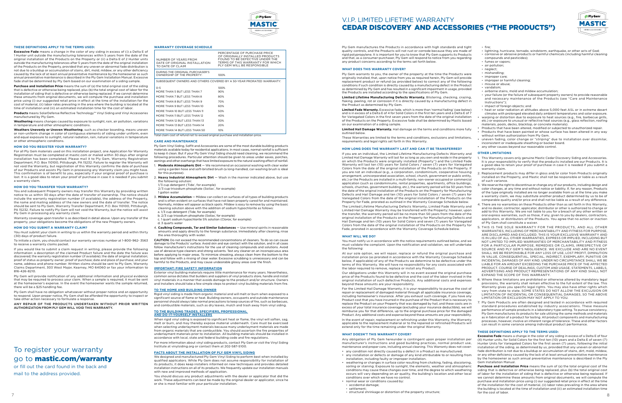

#### **THESE DEFINITIONS APPLY TO THE TERMS USED:**

**Excessive Fade** means a change in the color of any siding in excess of (i) a Delta E of 1 Hunter unit outside the manufacturing tolerances within 5 years from the date of the original installation of the Products on the Property or (ii) a Delta E of 2 Hunter units outside the manufacturing tolerances after 5 years from the date of the original installation of the Products on the Property, provided that any uneven or abnormal fade distribution is not due to a buildup or accumulation of stains, dirt, mold, mildew, or any other deficiency caused by the lack of at least annual preventative maintenance by the homeowner as such annual preventative maintenance is described in the Ply Gem Installation Manual. Excessive fade shall be determined by Ply Gem based on our examination of a siding sample.

**Purchase and Installation Price** means the sum of (a) the total original cost of the siding that is defective or otherwise being replaced, plus (b) the total original cost of labor for the installation of siding that is defective or otherwise being replaced. If we cannot determine these amounts from original documents, we will compute the purchase and installation price using (i) our suggested retail price in effect at the time of the installation for the cost of material, (ii) labor rates prevailing in the area where the building is located at the time of installation and (iii) an estimated installation time for the cost of labor.

**Products** means SolarDefense Reflective Technology™ Vinyl Siding and Vinyl Accessories manufactured by Ply Gem.

**Weathering** means changes caused by exposure to sunlight, rain, air pollution, variations in temperature and other atmospheric conditions.

**Weathers Unevenly or Uneven Weathering**, such as checker boarding, means uneven or non-uniform change in color of contiguous elements of siding under uniform, even and equal exposure to sunlight, natural radiation, rain, natural variations in temperature or other atmospheric conditions.

#### **HOW DO YOU REGISTER YOUR WARRANTY?**

For all Ply Gem materials used on this installation project, one Application for Warranty Registration must be completed at mastic.com or mailed within 30 days after original installation has been completed. Please mail it to Ply Gem, Warranty Registration Department, P.O. Box 110100, Pittsburgh, PA 15232. Failure to register the Warranty will not void the Warranty, but registration of this Warranty confirms the date of purchase of our Products and assists Ply Gem in processing any Warranty claim you might have. This confirmation is of benefit to you, especially if your original proof of purchase is lost. It is a good idea to retain your proof of purchase in case it is needed if you submit a warranty claim.

#### **HOW DO YOU TRANSFER YOUR WARRANTY?**

You and subsequent Property owners may transfer this Warranty by providing written notice to us within 30 days after the date of transfer of ownership. The notice should include the warranty registration number (if available), the address of the Property, the name and mailing address of the new owners and the date of transfer. The notice should be sent to Ply Gem, Warranty Transfer Department, P.O. Box 110100, Pittsburgh, PA 15232. Failure to notify Ply Gem will not void the Warranty, but the notice will assist Ply Gem in processing any warranty claim.

Warranty coverage upon transfer is as described in detail above. Upon any transfer of the property, your obligations become the obligations of the new Property owners.

#### **HOW DO YOU SUBMIT A WARRANTY CLAIM?**

You must submit your claim in writing to us within the warranty period and within thirty (30) days of product failure.

To initiate a claim, you should contact our warranty services number at 1-800-962- 3563 to receive a warranty claims packet.

If you would like to submit a claim request in writing, please provide the following information: a description of the claimed Product failure and the date the failure was discovered; the warranty registration number (if available); the date of original installation; proof of status as property owner; proof of purchase; date and place of purchase; and your name, address and phone number. Written claims should be sent to Ply Gem, Warranty Claims Department, 303 West Major, Kearney, MO 64060 or fax your information to 816-426-8210.

Ply Gem will provide notification of any additional information and physical evidence that may be required to process your claim. When a sample is required, it must be sent at the homeowner's expense. In the event the homeowner wants the sample returned, there will be a \$25 handling fee.

Ply Gem shall have no obligation whatsoever without proper notice and an opportunity to respond. Upon proper notice, Ply Gem shall be afforded the opportunity to inspect or take other action necessary to formulate a response.

ANY REPAIR OF THE PRODUCTS UNDERTAKEN WITHOUT PRIOR WRITTEN AUTHORIZATION FROM PLY GEM WILL VOID THIS WARRANTY.

#### **WARRANTY COVERAGE SCHEDULE**

#### **CARE AND MAINTENANCE**

Ply Gem Vinyl Siding, Soffit and Accessories are some of the most durable building products materials available today for residential applications. In most cases, normal rainfall is sufficient to keep it clean. But if your Ply Gem Vinyl Siding should need cleaning, we recommend the following procedures. Particular attention should be given to areas under eaves, porches, awnings and other overhangs that have limited exposure to the natural washing effect of rainfall.

- 1. **Moderate Atmospheric Dirt**  We recommend an occasional washing with clear water using a garden hose and soft-bristled brush (a long-handled, car-washing brush is ideal for this purpose).
- 2. **Heavy Industrial Atmospheric Dirt** Wash in the manner indicated above, but use following solution
- 1/3 cup detergent (Tide', for example)
- 2/3 cup trisodium phosphate (Soilax<sup>\*</sup>, for example) 1 gallon water
- 3. **Mildew Accumulation** Mildew can collect on surfaces of all types of building products and is often evident on surfaces that have not been properly cared for and maintained. Normally, mildew will appear as black spots. Mildew is easy to remove by using the basic cleaning solution above with the addition of sodium hypochlorite as follows: a. 1/3 cup detergent (Tide, for example)
- b. 2/3 cup trisodium phosphate (Soilax; for example)
- c. 1 quart sodium hypochlorite 5% solution (Clorox; for example)
- d. 3 quarts water
- 4. **Caulking Compounds, Tar and Similar Substances**  Use mineral spirits in reasonable amounts and apply directly to the foreign substance. Immediately after cleaning, rinse the area thoroughly with water.

CAUTION: Do not exceed the recommended concentrations of cleaners. To do so can cause damage to the Products' surface. Avoid skin and eye contact with the solution, and in all cases follow manufacturer's instructions for the use of cleaning compounds and solutions. Avoid use of abrasive-type cleaners and strong solvents. Test any cleaner on an inconspicuous area before applying to major areas. To minimize streaking, always clean from the bottom to the top and follow with a rinsing of clear water. Excessive scrubbing is unnecessary and can be harmful to the Products, and may cause undesirable glossy areas over the finish.

#### **IMPORTANT: FIRE SAFETY INFORMATION**

Exterior vinyl building materials require little maintenance for many years. Nevertheless, common sense dictates that builders and suppliers of vinyl products store, handle and install vinyl materials in a manner that avoids damage to the product and/or structure. Owners and Installers should take a few simple steps to protect vinyl building materials from fire.

#### **TO THE HOME AND BUILDING OWNER**

Rigid vinyl siding is made from organic material and will melt or burn when exposed to a significant source of flame or heat. Building owners, occupants and outside maintenance personnel should always take normal precautions to keep sources of fire, such as barbecues, and combustible materials, such as dry leaves, mulch and trash away from vinyl siding.

#### **TO THE BUILDING TRADES, SPECIFIERS, PROFESSIONAL AND DO-IT-YOURSELF INSTALLERS**

When rigid vinyl siding is exposed to significant heat or flame, the vinyl will soften, sag, melt or burn, and may thereby expose material underneath. Care must be exercised when selecting underlayment materials because many underlayment materials are made from organic materials that are combustible. You should ascertain the fire properties of underlayment materials prior to installation. All building materials should be installed in accordance with local, state and federal building code and fire regulations. For more information about vinyl siding products, contact Ply Gem or visit the Vinyl Siding Institute at vinylsiding.org or contact them at 202-587-5100.

#### **FACTS ABOUT THE INSTALLATION OF PLY GEM VINYL SIDING**

We designed and manufactured Ply Gem Vinyl Siding to perform best when installed by qualified applicators. While Ply Gem does not assume responsibility for installation of its products, it does keep installers informed on new techniques and provides detailed installation instructions on all of its products. We frequently update our installation manuals with new and improved methods of application.

You should discuss any product adjustments with the dealer or applicator that did the work. These adjustments can best be made by the original dealer or applicator, since he or she is most familiar with your particular installation.

Ply Gem manufactures the Products in accordance with high standards and tight quality controls, and the Products will not rust or corrode because they are made of rigid polypropylene. It is important for you to know that Ply Gem supports its Products and that, as a consumer-purchaser, Ply Gem will respond to notice from you regarding any product concerns according to the terms set forth below.

#### **WHAT DOES THIS WARRANTY COVER?**

Ply Gem warrants to you, the owner of the property at the time the Products were originally installed, that, upon notice from you as required herein, Ply Gem will provide replacement product or refund (as provided below) to correct any of the following conditions if such condition is directly caused by a manufacturing defect in the Product as determined by Ply Gem and has resulted in a significant impairment in usage, provided the Products are installed according to the specifications of Ply Gem.

**Limited Lifetime Manufacturing Defects Warranty.** Blistering, checking, crazing, flaking, peeling, rot or corrosion if it is directly caused by a manufacturing defect in the Product as determined by Ply Gem.

7 and 200 million of the contract of the contract of the contract of the contract of the contract of the contract of the contract of the contract of the contract of the contract of the contract of the contract of the contr **Purchase and Installation Price** means the sum of (a) the total original cost of the siding that is defective or otherwise being replaced, plus (b) the total original cost of labor for the installation of siding that is defective or otherwise being replaced. If we cannot determine these amounts from original documents, we will compute the purchase and installation price using (i) our suggested retail price in effect at the time of the installation for the cost of material, (ii) labor rates prevailing in the area where the building is located at the time of installation and (iii) an estimated installation time for the cost of labor.

# V.I.P. LIMITED LIFETIME WARRANTY CEDAR DISCOVERY AND ACCESSORIES ("THE PRODUCTS")

**Limited Fade Warranty.** Excessive fade, which is more than 'normal fading' (see below) and is in excess of a Delta E of 4 for Solid Colors in the first ten years and a Delta E of 7 for Variegated Colors in the first seven years from the date of the original installation of the Products on the Property. Excessive fade shall be determined by Mastic based on our examination of a siding sample.

**Limited Hail Damage Warranty.** Hail damage on the terms and conditions more fully outlined below.

These Warranties are limited to the terms and conditions, exclusions and limitations, requirements and legal rights set forth in this Warranty.

#### **HOW LONG DOES THE WARRANTY LAST AND CAN IT BE TRANSFERRED?**

If you are an individual, the Limited Lifetime Manufacturing Defects Warranty and Limited Hail Damage Warranty will last for as long as you own and reside in the property on which the Products were originally installed (Property") and the Limited Fade Warranty will last ten (10) years for Solid Colors / seven (7) years for Variegated Colors from the date of the original installation of the Products on the Property. If you are not an individual (e.g., a corporation, condominium, cooperative housing arrangement, unincorporated association, school, church, government or public entity, etc.) or the Products are installed in a multi-family, non-owner occupied or commercia application (such as condominiums, rental properties, apartments, office buildings, schools, churches, government building, etc.), the warranty period will be 50 years from the date of the original installation of the Products on the Property for Manufacturing Defects and Hail Damage and ten (10) years for Solid Colors / seven (7) years for Variegated Colors from the date of the original installation of the Products on the Property for Fade, prorated as outlined in the Warranty Coverage Schedule below.

The Limited Lifetime Manufacturing Defects Warranty, Limited Fade Warranty and Limited Hail Damage Warranty may be transferred with the Property; however, upon the transfer, the warranty period will be no more than 50 years from the date of the original installation of the Products on the Property for Manufacturing Defects and Hail Damage and ten (10) years for Solid Colors and seven (7) years for Variegated Colors from the date of the original installation of the Products on the Property for Fade, prorated in accordance with the Warranty Coverage Schedule below.

#### **WHAT WILL WE DO?**

You must notify us in accordance with the notice requirements outlined below, and we must validate the complaint. Upon the notification and validation, we will undertake the following:

| NUMBER OF YEARS FROM<br>DATE OF ORIGINAL INSTALL ATION<br>TO DATE OF CLAIM                                                                                                                                                                                               | PERCENTAGE OF PURCHASE PRICE<br>OF ORIGINALLY INSTALLED PRODUCTS<br>FOUND TO BE DEFECTIVE UNDER THE<br>TERMS OF THIS WARRANTY FOR WHICH<br>PLY GEM WILL BE RESPONSIBLE |
|--------------------------------------------------------------------------------------------------------------------------------------------------------------------------------------------------------------------------------------------------------------------------|------------------------------------------------------------------------------------------------------------------------------------------------------------------------|
| DURING THE ORIGINAL PURCHASER'S<br>OWNERSHIP OF THE PROPERTY:                                                                                                                                                                                                            | 100%                                                                                                                                                                   |
|                                                                                                                                                                                                                                                                          | SUBSEQUENT OWNERS AND OTHERS COVERED BY A 50-YEAR PRORATED WARRANTY:                                                                                                   |
| $0 - 5$<br>MORE THAN 5 BUT LESS THAN 7<br>MORE THAN 7 BUT LESS THAN 8<br>MORE THAN 8 BUT LESS THAN 9<br>MORE THAN 9 BUT LESS THAN 10<br>MORE THAN 10 BUT LESS THAN 11<br>MORE THAN 11 RUT LESS THAN 12<br>MORE THAN 12 BUT LESS THAN 13<br>MORE THAN 13 BUT LESS THAN 14 | 100%<br>90%<br>80%<br>70%<br>60%<br>50%<br>40%<br>30%<br>20%                                                                                                           |
| MORE THAN 14 BUT LESS THAN 50                                                                                                                                                                                                                                            | 10%                                                                                                                                                                    |
|                                                                                                                                                                                                                                                                          |                                                                                                                                                                        |

otal claim cost of refund not to exceed original purchase and installation price

At our sole option, we will repair, replace or refund the original purchase and installation price (as prorated in accordance with the Warranty Coverage Schedule below, if applicable) of any of the Products we determine to be defective under the terms of this Warranty. We will have no responsibility for any costs associated with the labor required to remove, replace or install any Product.

Our obligations under this Warranty will in no event exceed the original purchase price of the Products found to be defective and the cost of the labor involved in the original installation of such defective Products. Any additional costs and expenses beyond these amounts are your responsibility.

For the Limited Hail Damage Warranty, it is your responsibility to pursue the cost of repair or replacement of damaged material through all applicable insurance coverage, including homeowner's insurance. After you exhaust such coverage, if you have any Product cost that you have incurred in the purchase of the Product that is necessary to replace the Product on your Property that was damaged by hail, and these costs are in excess of your total insurance coverage (excluding your insurance deductible), we will reimburse you for that difference, up to the original purchase price for the damaged Product. Any additional costs and expense beyond these amounts are your responsibility.

In the event of repair, replacement or refinishing under this Warranty, the Warranty applicable to the replacement material or to the repaired or refinished Products will extend only for the time remaining under the original Warranty.

#### **WHAT DOESN'T THIS WARRANTY COVER?**

Any obligation of Ply Gem hereunder is contingent upon proper installation per manufacturer's instructions and good building practices, normal product use, maintenance and proper care, including annual cleaning. This Warranty does not cover:

- any condition not directly caused by a defect in a Product as manufactured. • any installation or defects or damage of any kind attributable to or resulting from installation, including faulty or improper installation.
- weathering or changes in surface color resulting from chalking, fading, discoloring, soiling or staining. Exposure to sunlight, the elements, weather and atmospheric conditions may cause these changes over time, and the degree to which weathering occurs will vary depending on air quality, the building's location and other local conditions over which we have no control.
- normal wear or conditions caused by: - accidental damage;
- settlement;
- structural shrinkage or distortion of the property structure;



#### - fire;

- lightning, hurricane, tornado, windstorm, earthquake, or other acts of God; - corrosive or abrasive products or harmful chemicals (including harmful cleaning
- compounds and pesticides); - fumes or vapors;
- air pollution;
- neglect;
- mishandling;
- improper care;
- improper or harmful cleaning; - misuse or abuse;
- vandalism;
- airborne stains, mold and mildew accumulation;
- your failure (or the failure of subsequent property owners) to provide reasonable and necessary maintenance of the Products (see "Care and Maintenance Instructions");
- impact of foreign objects; and
- heat or solar radiation at altitudes above 5,000 feet ASL or in extreme desert climates with prolonged elevated daily ambient temperatures and solar exposure. • warping or distortion due to exposure to heat sources (e.g., fire, barbecue grills,
- etc.) or exposure to unusual or reflective heat sources (e.g., glass reflection, roofing materials, pools, decks, blacktop, or concrete materials). • Products that have been altered, modified or subjected to unauthorized repair.
- Products that have been painted or whose surface has been altered in any way
- without written authorization from Ply Gem. uneven fading, color change or "striping" due to installation over dissimilar, inconsistent or inadequate sheathing or backer board.
- any other causes beyond our reasonable control.

#### **OTHER LIMITATIONS**

- 1. This Warranty covers only genuine Mastic Cedar Discovery Siding and Accessories. It is your responsibility to verify that the products installed are our Products. It is a good idea to retain your proof of purchase in case it is needed if you submit a warranty claim.
- 2. Replacement products may differ in gloss and/or color from Products originally installed on the Property, and Mastic shall not be responsible or liable as a result of such variance.
- 3. We reserve the right to discontinue or change any of our products, including design and color changes, at any time and without notice or liability. If, for any reason, Products of the type originally installed are no longer available from us at the time you make a warranty claim, we may substitute another product determined by us to be of comparable quality and/or price and shall not be liable as a result of any difference.
- 4. There are no warranties on these Products other than as set forth in this Warranty, and no dealer, contractor, applicator, distributor or other is authorized to change or add to this Warranty. We are not liable to you for a breach of any other written or oral express warranties, such as those, if any, given to you by dealers, contractors, applicators, or distributors of the Products. You agree that no action or inaction of Ply Gem shall constitute a waiver.
- 5. THIS IS THE SOLE WARRANTY FOR THE PRODUCTS, AND ALL OTHER WARRANTIES, INCLUDING OF MERCHANTABILITY AND FITNESS FOR PURPOSE, ARE DISCLAIMED AND EXCLUDED. THIS IS YOUR EXCLUSIVE WARRANTY AND IS IN LIEU OF ALL OTHER WARRANTIES, EXPRESS OR IMPLIED, INCLUDING BUT NOT LIMITED TO IMPLIED WARRANTIES OF MERCHANTABILITY AND FITNESS FOR A PARTICULAR PURPOSE, REMEDIES OR CLAIMS, IRRESPECTIVE OF SOURCE AND PLY GEM'S NEGLIGENCE. WE EXCLUDE AND ARE NO EVENT SHALL WE BE RESPONSIBLE FOR ANY LOSS OF USE, LOST PROFIT, DIMINUTION IN VALUE, CONSEQUENTIAL, SPECIAL, INDIRECT, EXEMPLARY, PUNITIVE OR INCIDENTAL DAMAGES OF ANY KIND. UNDER NO CIRCUMSTANCE SHALL WE BE LIABLE FOR AN AMOUNT EXCEEDING THE PURCHASE PRICE OF THE AFFECTED PRODUCT. COURSE OF DEALINGS, CUSTOM AND USAGE, STATEMENTS, LABELS ADVERTISING AND PRODUCT REPRESENTATIONS OF ANY KIND SHALL NOT EXPAND THE SCOPE OF THIS WARRANTY.
- 6. Where these limitations are prohibited or otherwise altered by mandatory legal provisions, the warranty shall remain effective to the full extent of the law. This Warranty gives you specific legal rights. You may also have other rights which vary from state to state. SOME STATES DO NOT ALLOW THE EXCLUSION OR LIMITATION OF INCIDENTAL OR CONSEQUENTIAL DAMAGES, SO THE ABOVE LIMITATION OR EXCLUSION MAY NOT APPLY TO YOU.
- 7. Ply Gem Products are often designed and tested in accordance with required standard procedures established by industry associations. These measure performance of sample products in a laboratory-type setting. To pursue consistency, Ply Gem manufactures its products for sale utilizing the same methods and materials as in fabrication of a product for testing. All product components and manufacturing processes, however, involve an inherent range of tolerance. These and other factors can result in some variance among individual product performance.

#### **THESE DEFINITIONS APPLY TO THE TERMS USED:**

**Excessive Fade** means a change in the color of any siding in excess of a Delta E of four (4) Hunter units, for Solid Colors for the first ten (10) years and a Delta E of seven (7) Hunter Units for Variegated Colors for the first seven (7) years, following the initial installation of the siding, as determined by us, provided that any uneven or abnormal fade distribution is not due to a buildup or accumulation of stains, dirt, mold, mildew, or any other deficiency caused by the lack of at least annual preventative maintenance by the homeowner as such annual preventative maintenance is described in the Ply Gem Installation Manual.

# To register your warranty go to mastic.com/warranty

or fill out the card found in the back and mail to the address provided.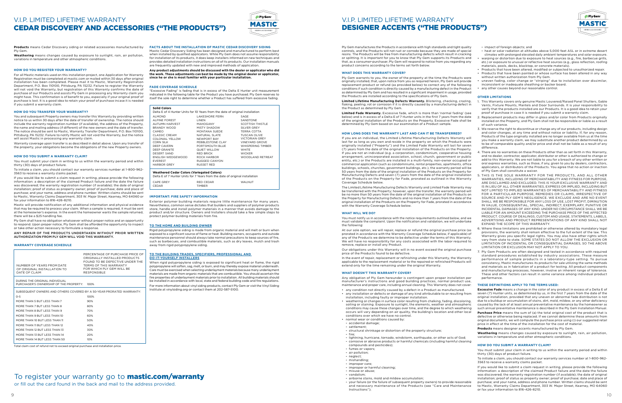#### **Products** means Cedar Discovery siding or related accessories manufactured by Ply Gem

**Weathering** means changes caused by exposure to sunlight, rain, air pollution, variations in temperature and other atmospheric conditions.

#### **HOW DO YOU REGISTER YOUR WARRANTY?**

For all Mastic materials used on this installation project, one Application for Warranty Registration must be completed at mastic.com or mailed within 30 days after original installation has been completed. Please mail it to Mastic, Warranty Registration Department, P.O. Box 110100, Pittsburg, PA 15232. Failure to register the Warranty will not void the Warranty, but registration of this Warranty confirms the date of purchase of our Products and assists Ply Gem in processing any Warranty claim you might have. This confirmation is of benefit to you, especially if your original proof of purchase is lost. It is a good idea to retain your proof of purchase incase it is needed if you submit a warranty claim.

#### **HOW DO YOU TRANSFER YOUR WARRANTY?**

You and subsequent Property owners may transfer this Warranty by providing written notice to us within 30 days after the date of transfer of ownership. The notice should include the warranty registration number (if available), the address of the Property, the name and mailing address (if different) of the new owners and the date of transfer. The notice should be sent to Mastic, Warranty Transfer Department, P.O. Box 110100, Pittsburg, PA 15232. Failure to notify Mastic will not void the Warranty, but the notice will assist Mastic in processing any warranty claim.

Warranty coverage upon transfer is as described in detail above. Upon any transfer of the property, your obligations become the obligations of the new Property owners.

#### **HOW DO YOU SUBMIT A WARRANTY CLAIM?**

You must submit your claim in writing to us within the warranty period and within thirty (30) days of product failure.

To initiate a claim, you should contact our warranty services number at 1-800-962- 3563 to receive a warranty claims packet.

If you would like to submit a claim request in writing, please provide the following information: a description of the claimed Product failure and the date the failure was discovered; the warranty registration number (if available); the date of original installation; proof of status as property owner; proof of purchase; date and place of purchase; and your name, address and phone number. Written claims should be sent to Mastic, Warranty Claims Department, 303 W. Major Street, Kearney, MO 64060 or fax your information to 816-426-8210.

Mastic will provide notification of any additional information and physical evidence that may be required to process your claim. When a sample is required, it must be sent at the homeowner's expense. In the event the homeowner wants the sample returned, there will be a \$25 handling fee.

Ply Gem shall have no obligation whatsoever without proper notice and an opportunity to respond. Upon proper notice, Ply Gem shall be afforded the opportunity to inspect or take other action necessary to formulate a response.

ANY REPAIR OF THE PRODUCTS UNDERTAKEN WITHOUT PRIOR WRITTEN AUTHORIZATION FROM PLY GEM WILL VOID THIS WARRANTY.

#### **WARRANTY COVERAGE SCHEDULE**

Total claim cost of refund not to exceed original purchase and installation price.

# To register your warranty go to **mastic.com/warranty**

**FACTS ABOUT THE INSTALLATION OF MASTIC CEDAR DISCOVERY SIDING**  Mastic Cedar Discovery Siding has been designed and manufactured to perform best when installed by qualified applicators. While Ply Gem does not assume responsibility for installation of its products, it does keep installers informed on new techniques and provides detailed installation instructions on all of its products. Our installation manuals are frequently updated with new and improved methods of application.

**Any product adjustments should be discussed with the dealer or applicator who did the work. These adjustments can best be made by the original dealer or applicator, since he or she is most familiar with your particular installation.**

#### **FADE COVERAGE SCHEDULE**

"Excessive Fading" is fading that is in excess of the Delta E Hunter unit measurement indicated in the following table for the Product you have purchased. Ply Gem reserves to itself the sole right to determine whether a Product has suffered from excessive fading.

Ply Gem manufactures the Products in accordance with high standards and tight quality controls, and the Products will not rust or corrode because they are made of special resins. The Products will be free from manufacturing defects which result in cracking or splitting. It is important for you to know that Ply Gem supports its Products and that, as a consumer-purchaser, Ply Gem will respond to notice from you regarding any product concerns according to the terms set forth below.

- impact of foreign objects; and
- heat or solar radiation at altitudes above 5,000 feet ASL or in extreme desert climates with prolonged elevated daily ambient temperatures and solar exposure. • warping or distortion due to exposure to heat sources (e.g., fire, barbecue grills, etc.) or exposure to unusual or reflective heat sources (e.g., glass reflection, roofing
- materials, pools, decks, blacktop, or concrete materials).
- Products that have been altered, modified or subjected to unauthorized repair. • Products that have been painted or whose surface has been altered in any way without written authorization from Ply Gem.
- uneven fading, color change or "striping" due to installation over dissimilar, inconsistent or inadequate sheathing or backer board.
- any other causes beyond our reasonable control.

#### **WHAT DOES THIS WARRANTY COVER?**

Ply Gem warrants to you, the owner of the property at the time the Products were originally installed, that, upon notice from you as required herein, Ply Gem will provide replacement product or refund (as provided below) to correct any of the following conditions if such condition is directly caused by a manufacturing defect in the Product as determined by Ply Gem and has resulted in a significant impairment in usage, provided the Products are installed according to the specifications of Ply Gem.

**Limited Lifetime Manufacturing Defects Warranty.** Blistering, checking, crazing, flaking, peeling, rot or corrosion if it is directly caused by a manufacturing defect in the Product as determined by Ply Gem.

**Limited Fade Warranty.** Excessive fade, which is more than 'normal fading' (see below) and is in excess of a Delta E of 7 Hunter units in the first 7 years from the date of the original installation of the Products on the Property. Excessive Fade shall be determined by Ply Gem based on our examination of a Product sample.

#### **HOW LONG DOES THE WARRANTY LAST AND CAN IT BE TRANSFERRED?**

If you are an individual, the Limited Lifetime Manufacturing Defects Warranty will last for as long as you own and reside in the property on which the Products were originally installed ("Property") and the Limited Fade Warranty will last for seven (7) years from the date of the original installation of the Products on the Property. If you are not an individual (e.g. a corporation, condominium, cooperative housing arrangement, unincorporated association, school, church, government or public entity, etc.) or the Products are installed in a multi-family, non-owner occupied or commercial application (such as condominiums, rental properties, apartments, office buildings, schools, churches, government buildings, etc.), the warranty period will be 50 years from the date of the original installation of the Products on the Property for Manufacturing Defects and seven (7) years from the date of the original installation of the Products on the Property for Fade, prorated as outlined in the Warranty Coverage Schedule below.

The Limited Lifetime Manufacturing Defects Warranty and Limited Fade Warranty may be transferred with the Property; however, upon the transfer, the warranty period will be no more than 50 years from the date of the original installation of the Products on the Property for Manufacturing Defects and no more than 7 years from the date of the original installation of the Products on the Property for Fade, prorated in accordance with the Warranty Coverage Schedule below.

#### **WHAT WILL WE DO?**

You must notify us in accordance with the notice requirements outlined below, and we must validate the complaint. Upon the notification and validation, we will undertake the following:

At our sole option, we will repair, replace or refund the original purchase price (as prorated in accordance with the Warranty Coverage Schedule below, if applicable) of any of the Products we determine to be defective under the terms of this Warranty. We will have no responsibility for any costs associated with the labor required to remove, replace or install any Product.

Our obligations under this Warranty will in no event exceed the original purchase price of the Products found to be defective.

In the event of repair, replacement or refinishing under this Warranty, the Warranty applicable to the replacement material or to the repaired or refinished Products will extend only for the time remaining under the original Warranty.

#### **WHAT DOESN'T THIS WARRANTY COVER?**

Any obligation of Ply Gem hereunder is contingent upon proper installation per manufacturer's instructions and good building practices, normal product use, maintenance and proper care, including annual cleaning. This Warranty does not cover:

When rigid polypropylene siding is exposed to significant heat or flame, the rigid polypropylene will soften, sag, melt, or burn, and may thereby expose material underneath. Care must be exercised when selecting underlayment materials because many underlayment materials are made from organic materials that are combustible. You should ascertain the fire properties of underlayment materials prior to installation. All building materials should be installed in accordance with local, state and federal building code and fire regulations. For more information about vinyl siding products, contact Ply Gem or visit the Vinyl Siding Institute at vinylsiding.org or contact them at 202-587-5100.

- any condition not directly caused by a defect in a Product as manufactured. • any installation or defects or damage of any kind attributable to or resulting from
- installation, including faulty or improper installation. • weathering or changes in surface color resulting from chalking, fading, discoloring,
- soiling or staining. Exposure to sunlight, the elements, weather and atmospheric conditions may cause these changes over time, and the degree to which weathering occurs will vary depending on air quality, the building's location and other local conditions over which we have no control. • normal wear or conditions caused by:
- accidental damage;
- settlement;
- structural shrinkage or distortion of the property structure;
- fire;
- lightning, hurricane, tornado, windstorm, earthquake, or other acts of God; - corrosive or abrasive products or harmful chemicals (including harmful cleaning
- compounds and pesticides); - fumes or vapors;
- 
- air pollution; - neglect;
- mishandling;
- improper care;
- improper or harmful cleaning;
- misuse or abuse;
- vandalism;
- airborne stains, mold and mildew accumulation;
- your failure (or the failure of subsequent property owners) to provide reasonable and necessary maintenance of the Products (see "Care and Maintenance Instructions");



Ply Gem MASTIC

- 
- 
- 
- 

- 
- 
- 
- 
- 
- 
- 
- 
- 

| NUMBER OF YEARS FROM DATE<br>OF ORIGINAL INSTALL ATION TO<br>DATE OF CLAIM | PERCENTAGE OF PURCHASE PRICE OF<br>ORIGINALLY INSTALLED PRODUCTS<br>FOUND TO BE DEFECTIVE UNDER THE<br>TERMS OF THIS WARRANTY<br>FOR WHICH PLY GEM WILL BE<br><b>RESPONSIBLE</b> |
|----------------------------------------------------------------------------|----------------------------------------------------------------------------------------------------------------------------------------------------------------------------------|
| DURING THE ORIGINAL INDIVIDUAL<br>PURCHASER'S OWNERSHIP OF THE PROPERTY:   | 100%                                                                                                                                                                             |
| SUBSEQUENT OWNERS AND OTHERS COVERED BY A 50-YEAR PRORATED WARRANTY:       |                                                                                                                                                                                  |
| $O - 5$                                                                    | 100%                                                                                                                                                                             |
| MORE THAN 5 BUT LESS THAN 7                                                | 90%                                                                                                                                                                              |
| MORE THAN 7 BUT LESS THAN 8                                                | 80%                                                                                                                                                                              |
| MORE THAN 8 BUT LESS THAN 9                                                | 70%                                                                                                                                                                              |
| MORE THAN 9 BUT LESS THAN 10                                               | 60%                                                                                                                                                                              |
| MORE THAN 10 BUT LESS THAN 11                                              | 50%                                                                                                                                                                              |
| MORE THAN 11 BUT LESS THAN 12                                              | 40%                                                                                                                                                                              |
| MORE THAN 12 BUT LESS THAN 13                                              | 30%                                                                                                                                                                              |
| MORE THAN 13 BUT LESS THAN 14                                              | 20%                                                                                                                                                                              |
| MORE THAN 14 BUT LESS THAN 50                                              | 10%                                                                                                                                                                              |

#### **OTHER LIMITATIONS**

- 1. This Warranty covers only genuine Mastic Louvered/Raised Panel Shutters, Gable Vents, Fixture Mounts, Mantels and Door Surrounds. It is your responsibility to verify that the products installed are our Products. It is a good idea to retain your proof of purchase in case it is needed if you submit a warranty claim.
- 2. Replacement products may differ in gloss and/or color from Products originally installed on the Property, and Ply Gem shall not be responsible or liable as a result of such variance.
- 3. We reserve the right to discontinue or change any of our products, including design and color changes, at any time and without notice or liability. If, for any reason, Products of the type originally installed are no longer available from us at the time you make a warranty claim, we may substitute another product determined by us to be of comparable quality and/or price and shall not be liable as a result of any difference.
- 4. There are no warranties on these Products other than as set forth in this Warranty, and no dealer, contractor, applicator, distributor or other is authorized to change or add to this Warranty. We are not liable to you for a breach of any other written or oral express warranties, such as those, if any, given to you by dealers, contractors, applicators, or distributors of the Products. You agree that no action or inaction of Ply Gem shall constitute a waiver.
- 5. THIS IS THE SOLE WARRANTY FOR THE PRODUCTS, AND ALL OTHER WARRANTIES, INCLUDING OF MERCHANTABILITY AND FITNESS FOR PURPOSE, ARE DISCLAIMED AND EXCLUDED. THIS IS YOUR EXCLUSIVE WARRANTY AND IS IN LIEU OF ALL OTHER WARRANTIES, EXPRESS OR IMPLIED, INCLUDING BUT NOT LIMITED TO IMPLIED WARRANTIES OF MERCHANTABILITY AND FITNESS FOR A PARTICULAR PURPOSE, REMEDIES OR CLAIMS, IRRESPECTIVE OF SOURCE AND PLY GEM'S NEGLIGENCE. WE EXCLUDE AND ARE NO EVENT SHALL WE BE RESPONSIBLE FOR ANY LOSS OF USE, LOST PROFIT, DIMINUTION IN VALUE, CONSEQUENTIAL, SPECIAL, INDIRECT, EXEMPLARY, PUNITIVE OR INCIDENTAL DAMAGES OF ANY KIND. UNDER NO CIRCUMSTANCE SHALL WE BE LIABLE FOR AN AMOUNT EXCEEDING THE PURCHASE PRICE OF THE AFFECTED PRODUCT. COURSE OF DEALINGS, CUSTOM AND USAGE, STATEMENTS, LABELS, ADVERTISING AND PRODUCT REPRESENTATIONS OF ANY KIND SHALL NOT EXPAND THE SCOPE OF THIS WARRANTY.
- 6. Where these limitations are prohibited or otherwise altered by mandatory legal provisions, the warranty shall remain effective to the full extent of the law. This Warranty gives you specific legal rights. You may also have other rights which vary from state to state. SOME STATES DO NOT ALLOW THE EXCLUSION OR LIMITATION OF INCIDENTAL OR CONSEQUENTIAL DAMAGES, SO THE ABOVE LIMITATION OR EXCLUSION MAY NOT APPLY TO YOU.
- 7. Ply Gem Products are often designed and tested in accordance with required standard procedures established by industry associations. These measure performance of sample products in a laboratory-type setting. To pursue consistency, Mastic manufactures its products for sale utilizing the same methods and materials as in fabrication of a product for testing. All product components and manufacturing processes, however, involve an inherent range of tolerance. These and other factors can result in some variance among individual product performance.

#### **THESE DEFINITIONS APPLY TO THE TERMS USED:**

**Excessive Fade** means a change in the color of any product in excess of a Delta E of seven (7) Hunter units, as determined by us, in the first 7 years from the date of the original installation, provided that any uneven or abnormal fade distribution is not due to a buildup or accumulation of stains, dirt, mold, mildew, or any other deficiency caused by the lack of at least annual preventative maintenance by the homeowner as such annual preventative maintenance is described in the Ply Gem Installation Manual. **Purchase Price** means the sum of (a) the total original cost of the product that is defective or otherwise being replaced. If we cannot determine these amounts from original documents, we will compute the purchase price using (i) our suggested retail price in effect at the time of the installation for the cost of material.

**Products** means designer accents manufactured by Ply Gem. **Weathering** means changes caused by exposure to sunlight, rain, air pollution, variations in temperature and other atmospheric conditions.

#### **HOW DO YOU SUBMIT A WARRANTY CLAIM?**

You must submit your claim in writing to us within the warranty period and within thirty (30) days of product failure.

To initiate a claim, you should contact our warranty services number at 1-800-962- 3563 to receive a warranty claims packet.

If you would like to submit a claim request in writing, please provide the following information: a description of the claimed Product failure and the date the failure was discovered; the warranty registration number (if available); the date of original installation; proof of status as property owner; proof of purchase; date and place of purchase; and your name, address and phone number. Written claims should be sent to Mastic, Warranty Claims Department, 303 W. Major Street, Kearney, MO 64060 or fax your information to 816-426-8210.

# V.I.P. LIMITED LIFETIME WARRANTY DESIGNER ACCENTS ("THE PRODUCTS")

# V.I.P. LIMITED LIFETIME WARRANTY CEDAR DISCOVERY AND ACCESSORIES ("THE PRODUCTS")



or fill out the card found in the back and mail to the address provided.

#### **IMPORTANT: FIRE SAFETY INFORMATION**

Exterior polymer building materials require little maintenance for many years. Nevertheless, common sense dictates that builders and suppliers of polymer products store, handle and install polymer materials in a manner that avoids damage to the product and/or structure. Owners and Installers should take a few simple steps to protect polymer building materials from fire.

#### **TO THE HOME AND BUILDING OWNER**

Rigid polypropylene siding is made from organic material and will melt or burn when exposed to a significant source of flame or heat. Building owners, occupants and outside maintenance personnel should always take normal precautions to keep sources of fire, such as barbecues, and combustible materials, such as dry leaves, mulch and trash away from rigid polypropylene siding.

#### **TO THE BUILDING TRADES, SPECIFIERS, PROFESSIONAL AND DO-IT-YOURSELF INSTALLERS**

| <b>Solid Colors</b><br>Delta E of 4 Hunter Units for 10 Years from the date of original installation |                       |                          |  |  |
|------------------------------------------------------------------------------------------------------|-----------------------|--------------------------|--|--|
| <b>ALMOND</b>                                                                                        | <b>LAKESHORE FERN</b> | SAGE                     |  |  |
| ALPINE FOREST                                                                                        | LINEN                 | SANDTONE                 |  |  |
| AUTUMN HARVEST                                                                                       | MAHOGANY              | <b>SCOTTISH THISTLE</b>  |  |  |
| <b>BRANDY WOOD</b>                                                                                   | MISTY SHADOW          | SILVER GREY              |  |  |
| CAMEO                                                                                                | MONTANA SUEDE         | TERRA COTTA              |  |  |
| CLASSIC CREAM                                                                                        | NATURAL SLATE         | <b>TUSCAN OLIVE</b>      |  |  |
| COLONIAL YELLOW                                                                                      | NEWPORT BAY           | <b>VICTORIAN GREY</b>    |  |  |
| CORN SILK                                                                                            | PEBBLESTONE CLAY      | VINEYARD GROVE           |  |  |
| DEEP CAVERN                                                                                          | PORTSMOUTH BLUE       | <b>WHISPERING TIMBER</b> |  |  |
| DEEP GRANITE                                                                                         | QUIET WILLOW          | <b>WHITE</b>             |  |  |
| DESERT SAND                                                                                          | RED BRICK             | <b>WICKER</b>            |  |  |
| ENGLISH WEDGEWOOD                                                                                    | ROCK HARBOR           | <b>WOODLAND RETREAT</b>  |  |  |
| <b>FVEREST</b>                                                                                       | RUGGED CANYON         |                          |  |  |
| <b>HARBOR GREY</b>                                                                                   | <b>RUSSET RED</b>     |                          |  |  |

#### **Weathered Cedar Colors (Variegated Colors)**

|                           | Delta E of 7 Hunter Units for 7 Years from the date of original installation |               |
|---------------------------|------------------------------------------------------------------------------|---------------|
| CAPE GREY<br><b>CEDAR</b> | RED CEDAR<br>TIMBER                                                          | <b>WALNUT</b> |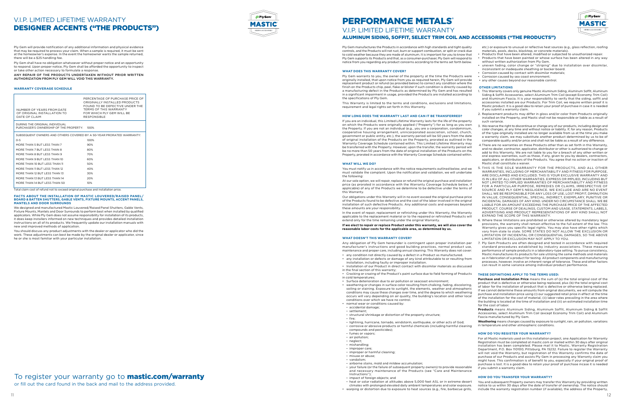Ply Gem manufactures the Products in accordance with high standards and tight quality controls, and the Products will not rust, burn or support combustion, or split or crack due to cold weather because they are made of aluminum. It is important for you to know that Ply Gem supports its Products and that, as a consumer-purchaser, Ply Gem will respond to notice from you regarding any product concerns according to the terms set forth below.

#### **WHAT DOES THIS WARRANTY COVER?**

Ply Gem warrants to you, the owner of the property at the time the Products were originally installed, that upon notice from you as required herein, Ply Gem will provide replacement product or refund (as provided below) to correct any condition where the finish on the Products chip, peel, flake or blister if such condition is directly caused by a manufacturing defect in the Products as determined by Ply Gem and has resulted in a significant impairment in usage, provided the Products are installed according to the specifications of Ply Gem.

This Warranty is limited to the terms and conditions, exclusions and limitations, requirement and legal rights set forth in this Warranty.

#### **HOW LONG DOES THE WARRANTY LAST AND CAN IT BE TRANSFERRED?**

If you are an individual, this Limited Lifetime Warranty lasts for the life of the property on which the Products were originally applied ("Property") for as long as you own the Property. If you are not an individual (e.g., you are a corporation, condominium, cooperative housing arrangement, unincorporated association, school, church, government or public entity, etc.), the warranty period will be 50 years from the date of original installation of the Products on the Property, prorated as outlined in the Warranty Coverage Schedule contained within. This Limited Lifetime Warranty may be transferred with the Property. However, upon the transfer, the warranty period will be no more than 50 years from the date of original installation of the Products on the Property, prorated in accordance with the Warranty Coverage Schedule contained within.

#### **WHAT WILL WE DO?**

You must notify us in accordance with the notice requirements outlined below, and we must validate the complaint. Upon the notification and validation, we will undertake the following:

At our sole option, we will repair, replace or refund the original purchase and installation price (as prorated in accordance with the Warranty Coverage Schedule below, if applicable) of any of the Products we determine to be defective under the terms of this Warranty.

Our obligations under this Warranty will in no event exceed the original purchase price of the Products found to be defective and the cost of the labor involved in the original installation of such defective Products. Any additional costs and expenses beyond these amounts are your responsibility.

In the event of repair, replacement or refinishing under this Warranty, the Warranty applicable to the replacement material or to the repaired or refinished Products will extend only for the time remaining under the original Warranty.

**If we elect to repair or replace Product under this warranty, we will also cover the reasonable labor costs for the applicable area, as determined by us.**

#### **WHAT DOESN'T THIS WARRANTY COVER?**

Any obligation of Ply Gem hereunder is contingent upon proper installation per manufacturer's instructions and good building practices, normal product use, maintenance and proper care, including annual cleaning. This Warranty does not cover:

- any condition not directly caused by a defect in a Product as manufactured. • any installation or defects or damage of any kind attributable to or resulting from
- installation, including faulty or improper installation. • Installation of our Product in direct contact with dissimilar materials as discussed
- in the final section of this warranty; • Cracking or crazing of the Product's paint surface due to field forming of Products
- in cold temperatures;
- Surface deterioration due to air pollution or seacoast environment;
- weathering or changes in surface color resulting from chalking, fading, discoloring, soiling or staining. Exposure to sunlight, the elements, weather and atmospheric conditions may cause these changes over time, and the degree to which weathering occurs will vary depending on air quality, the building's location and other local conditions over which we have no control.
- normal wear or conditions caused by: - accidental damage;
- settlement
- structural shrinkage or distortion of the property structure;
- fire;
- lightning, hurricane, tornado, windstorm, earthquake, or other acts of God;
- corrosive or abrasive products or harmful chemicals (including harmful cleaning compounds and pesticides);
- fumes or vapors;
- air pollution;
- neglect;
- mishandling;
- improper care;
- improper or harmful cleaning;
- misuse or abuse;
- vandalism;
- airborne stains, mold and mildew accumulation;
- your failure (or the failure of subsequent property owners) to provide reasonable and necessary maintenance of the Products (see "Care and Maintenance Instructions");
- impact of foreign objects; and
- heat or solar radiation at altitudes above 5,000 feet ASL or in extreme desert climates with prolonged elevated daily ambient temperatures and solar exposure.
	- warping or distortion due to exposure to heat sources (e.g., fire, barbecue grills,



etc.) or exposure to unusual or reflective heat sources (e.g., glass reflection, roofing materials, pools, decks, blacktop, or concrete materials).

- Products that have been altered, modified or subjected to unauthorized repair. • Products that have been painted or whose surface has been altered in any way without written authorization from Ply Gem.
- uneven fading, color change or "striping" due to installation over dissimilar, inconsistent or inadequate sheathing or backer board.
- Corrosion caused by contact with dissimilar materials;
- Corrosion caused by sea coast environment • any other causes beyond our reasonable control.

#### **OTHER LIMITATIONS**

# PERFORMANCE METALS® V.I.P. LIMITED LIFETIME WARRANTY

- 1. This Warranty covers only genuine Mastic Aluminum Siding, Aluminum Soffit, Aluminum Siding & Soffit Accessories, select Aluminum Trim Coil (except Economy Trim Coil) and Aluminum Fascia. It is your responsibility to verify that the siding, soffit and accessories installed are our Products. For Trim Coil, we require written proof it is Mastic product. It is a good idea to retain your proof of purchase in case it is needed if you submit a warranty claim.
- 2. Replacement products may differ in gloss and/or color from Products originally installed on the Property, and Mastic shall not be responsible or liable as a result of such variance.
- 3. We reserve the right to discontinue or change any of our products, including design and color changes, at any time and without notice or liability. If, for any reason, Products of the type originally installed are no longer available from us at the time you make a warranty claim, we may substitute another product determined by us to be of comparable quality and/or price and shall not be liable as a result of any difference.
- 4.There are no warranties on these Products other than as set forth in this Warranty, and no dealer, contractor, applicator, distributor or other is authorized to change or add to this Warranty. We are not liable to you for a breach of any other written or oral express warranties, such as those, if any, given to you by dealers, contractors, applicators, or distributors of the Products. You agree that no action or inaction of Mastic shall constitute a waiver.
- 5. THIS IS THE SOLE WARRANTY FOR THE PRODUCTS, AND ALL OTHER WARRANTIES, INCLUDING OF MERCHANTABILITY AND FITNESS FOR PURPOSE, ARE DISCLAIMED AND EXCLUDED. THIS IS YOUR EXCLUSIVE WARRANTY AND IS IN LIEU OF ALL OTHER WARRANTIES, EXPRESS OR IMPLIED, INCLUDING BUT NOT LIMITED TO IMPLIED WARRANTIES OF MERCHANTABILITY AND FITNESS FOR A PARTICULAR PURPOSE, REMEDIES OR CLAIMS, IRRESPECTIVE OF SOURCE AND PLY GEM'S NEGLIGENCE. WE EXCLUDE AND ARE NO EVENT SHALL WE BE RESPONSIBLE FOR ANY LOSS OF USE, LOST PROFIT, DIMINUTION IN VALUE, CONSEQUENTIAL, SPECIAL, INDIRECT, EXEMPLARY, PUNITIVE OR INCIDENTAL DAMAGES OF ANY KIND. UNDER NO CIRCUMSTANCE SHALL WE BE LIABLE FOR AN AMOUNT EXCEEDING THE PURCHASE PRICE OF THE AFFECTED PRODUCT. COURSE OF DEALINGS, CUSTOM AND USAGE, STATEMENTS, LABELS, ADVERTISING AND PRODUCT REPRESENTATIONS OF ANY KIND SHALL NOT EXPAND THE SCOPE OF THIS WARRANTY.
- 6. Where these limitations are prohibited or otherwise altered by mandatory legal provisions, the warranty shall remain effective to the full extent of the law. This Warranty gives you specific legal rights. You may also have other rights which vary from state to state. SOME STATES DO NOT ALLOW THE EXCLUSION OR LIMITATION OF INCIDENTAL OR CONSEQUENTIAL DAMAGES, SO THE ABOVE LIMITATION OR EXCLUSION MAY NOT APPLY TO YOU.
- 7. Ply Gem Products are often designed and tested in accordance with required standard procedures established by industry associations. These measure performance of sample products in a laboratory-type setting. To pursue consistency, Mastic manufactures its products for sale utilizing the same methods and materials as in fabrication of a product for testing. All product components and manufacturing processes, however, involve an inherent range of tolerance. These and other factors can result in some variance among individual product performance.

#### **THESE DEFINITIONS APPLY TO THE TERMS USED:**

**Purchase and Installation Price** means the sum of (a) the total original cost of the product that is defective or otherwise being replaced, plus (b) the total original cost of labor for the installation of product that is defective or otherwise being replaced. If we cannot determine these amounts from original documents, we will compute the purchase and installation price using (i) our suggested retail price in effect at the time of the installation for the cost of material, (ii) labor rates prevailing in the area where the building is located at the time of installation and (iii) an estimated installation time for the cost of labor.

**Products** means Aluminum Siding, Aluminum Soffit, Aluminum Siding & Soffit Accessories, select Aluminum Trim Coil (except Economy Trim Coil) and Aluminum Fascia manufactured by Ply Gem.

**Weathering** means changes caused by exposure to sunlight, rain, air pollution, variations in temperature and other atmospheric conditions.

#### **HOW DO YOU REGISTER YOUR WARRANTY?**

For all Mastic materials used on this installation project, one Application for Warranty Registration must be completed at mastic.com or mailed within 30 days after original installation has been completed. Please mail it to Mastic, Warranty Registration Department, P.O. Box 110100, Pittsburg, PA 15232. Failure to register the Warranty will not void the Warranty, but registration of this Warranty confirms the date of purchase of our Products and assists Ply Gem in processing any Warranty claim you might have. This confirmation is of benefit to you, especially if your original proof of purchase is lost. It is a good idea to retain your proof of purchase incase it is needed if you submit a warranty claim.

#### **HOW DO YOU TRANSFER YOUR WARRANTY?**

You and subsequent Property owners may transfer this Warranty by providing written notice to us within 30 days after the date of transfer of ownership. The notice should include the warranty registration number (if available), the address of the Property,

Ply Gem will provide notification of any additional information and physical evidence that may be required to process your claim. When a sample is required, it must be sent at the homeowner's expense. In the event the homeowner wants the sample returned, there will be a \$25 handling fee.

Ply Gem shall have no obligation whatsoever without proper notice and an opportunity to respond. Upon proper notice, Ply Gem shall be afforded the opportunity to inspect or take other action necessary to formulate a response.

ANY REPAIR OF THE PRODUCTS UNDERTAKEN WITHOUT PRIOR WRITTEN AUTHORIZATION FROM PLY GEM WILL VOID THIS WARRANTY.

#### **WARRANTY COVERAGE SCHEDULE**

Total claim cost of refund not to exceed original purchase and installation price.

#### **FACTS ABOUT THE INSTALLATION OF MASTIC LOUVERED/RAISED PANEL/ BOARD & BATTEN SHUTTERS, GABLE VENTS, FIXTURE MOUNTS, ACCENT PANELS, MANTELS AND DOOR SURROUNDS**

| NUMBER OF YEARS FROM DATE<br>OF ORIGINAL INSTALL ATION TO<br>DATE OF CLAIM | PERCENTAGE OF PURCHASE PRICE OF<br>ORIGINALLY INSTALLED PRODUCTS<br>FOUND TO BE DEFECTIVE UNDER THE<br>TERMS OF THIS WARRANTY<br>FOR WHICH PLY GEM WILL BE<br><b>RESPONSIBLE</b> |
|----------------------------------------------------------------------------|----------------------------------------------------------------------------------------------------------------------------------------------------------------------------------|
| DURING THE ORIGINAL INDIVIDUAL<br>PURCHASER'S OWNERSHIP OF THE PROPERTY:   | 100%                                                                                                                                                                             |
| SUBSEQUENT OWNERS AND OTHERS COVERED BY A 50-YEAR PRORATED WARRANTY:       |                                                                                                                                                                                  |
| $O - 5$                                                                    | 100%                                                                                                                                                                             |
| MORE THAN 5 BUT LESS THAN 7                                                | 90%                                                                                                                                                                              |
| MORE THAN 7 BUT LESS THAN 8                                                | 80%                                                                                                                                                                              |
| MORE THAN 8 BUT LESS THAN 9                                                | 70%                                                                                                                                                                              |
| MORE THAN 9 BUT LESS THAN 10                                               | 60%                                                                                                                                                                              |
| MORE THAN 10 BUT LESS THAN 11                                              | 50%                                                                                                                                                                              |
| MORE THAN 11 BUT LESS THAN 12                                              | 40%                                                                                                                                                                              |
| MORE THAN 12 BUT LESS THAN 13                                              | 30%                                                                                                                                                                              |
| MORE THAN 13 BUT LESS THAN 14                                              | 20%                                                                                                                                                                              |
| MORE THAN 14 BUT LESS THAN 50                                              | 10%                                                                                                                                                                              |

We designed and manufactured Mastic Louvered/Raised Panel Shutters, Gable Vents, Fixture Mounts, Mantels and Door Surrounds to perform best when installed by qualified applicators. While Ply Gem does not assume responsibility for installation of its products, it does keep installers informed on new techniques and provides detailed installation instructions on all of its products. We frequently update our installation manuals with new and improved methods of application.

You should discuss any product adjustments with the dealer or applicator who did the work. These adjustments can best be made by the original dealer or applicator, since he or she is most familiar with your particular installation.

# To register your warranty go to **mastic.com/warranty**

# V.I.P. LIMITED LIFETIME WARRANTY DESIGNER ACCENTS ("THE PRODUCTS")

#### ALUMINUM SIDING, SOFFIT, SELECT TRIM COIL AND ACCESSORIES ("THE PRODUCTS")

or fill out the card found in the back and mail to the address provided.

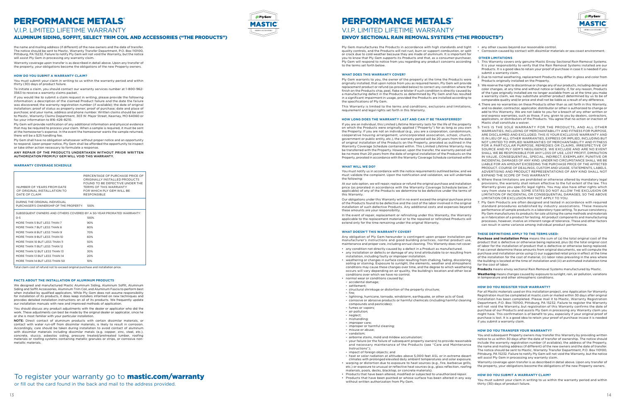the name and mailing address (if different) of the new owners and the date of transfer. The notice should be sent to Mastic, Warranty Transfer Department, P.O. Box 110100, Pittsburg, PA 15232. Failure to notify Ply Gem will not void the Warranty, but the notice will assist Ply Gem in processing any warranty claim.

Warranty coverage upon transfer is as described in detail above. Upon any transfer of the property, your obligations become the obligations of the new Property owners.

#### **HOW DO YOU SUBMIT A WARRANTY CLAIM?**

You must submit your claim in writing to us within the warranty period and within thirty (30) days of product failure.

To initiate a claim, you should contact our warranty services number at 1-800-962- 3563 to receive a warranty claims packet.

If you would like to submit a claim request in writing, please provide the following information: a description of the claimed Product failure and the date the failure was discovered; the warranty registration number (if available); the date of original installation; proof of status as property owner; proof of purchase; date and place of purchase; and your name, address and phone number. Written claims should be sent to Mastic, Warranty Claims Department, 303 W. Major Street, Kearney, MO 64060 or fax your information to 816-426-8210.

Ply Gem will provide notification of any additional information and physical evidence that may be required to process your claim. When a sample is required, it must be sent at the homeowner's expense. In the event the homeowner wants the sample returned, there will be a \$25 handling fee.

We designed and manufactured Mastic Aluminum Siding, Aluminum Soffit, Aluminum Siding and Soffit Accessories, Aluminum Trim Coil, and Aluminum Fascia to perform best when installed by qualified applicators. While Ply Gem does not assume responsibility for installation of its products, it does keep installers informed on new techniques and provides detailed installation instructions on all of its products. We frequently update our installation manuals with new and improved methods of application.

Ply Gem shall have no obligation whatsoever without proper notice and an opportunity to respond. Upon proper notice, Ply Gem shall be afforded the opportunity to inspect or take other action necessary to formulate a response.

ANY REPAIR OF THE PRODUCTS UNDERTAKEN WITHOUT PRIOR WRITTEN AUTHORIZATION FROM PLY GEM WILL VOID THIS WARRANTY.

NOTE: Direct contact of aluminum products with certain dissimilar materials, or contact with water run-off from dissimilar materials, is likely to result in corrosion. Accordingly, care should be taken during installation to avoid contact of aluminum with dissimilar materials including dissimilar metals (e.g. copper, zinc, steel, etc.), concrete, stucco, asbestos siding, pressure treated/pretreated lumber, roofing materials or roofing systems containing metallic granules or strips, or corrosive nonmetallic materials.

# To register your warranty go to **mastic.com/warranty**

#### **WARRANTY COVERAGE SCHEDULE**

Total claim cost of refund not to exceed original purchase and installation price.

#### **FACTS ABOUT THE INSTALLATION OF ALUMINUM PRODUCTS**

You should discuss any product adjustments with the dealer or applicator who did the work. These adjustments can best be made by the original dealer or applicator, since he or she is most familiar with your particular installation.

- any condition not directly caused by a defect in a Product as manufactured. • any installation or defects or damage of any kind attributable to or resulting from installation, including faulty or improper installation.
- weathering or changes in surface color resulting from chalking, fading, discoloring, soiling or staining. Exposure to sunlight, the elements, weather and atmospheric conditions may cause these changes over time, and the degree to which weathering occurs will vary depending on air quality, the building's location and other local conditions over which we have no control.
- normal wear or conditions caused by: - accidental damage;
- settlement;
- 
- structural shrinkage or distortion of the property structure; - fire;
- lightning, hurricane, tornado, windstorm, earthquake, or other acts of God; - corrosive or abrasive products or harmful chemicals (including harmful cleaning compounds and pesticides);
- fumes or vapors;
- air pollution;
- neglect; - mishandling;
- improper care;
- improper or harmful cleaning;
- misuse or abuse
- vandalism;
- airborne stains, mold and mildew accumulation;
- your failure (or the failure of subsequent property owners) to provide reasonable and necessary maintenance of the Products (see "Care and Maintenance Instructions");
- impact of foreign objects; and
- heat or solar radiation at altitudes above 5,000 feet ASL or in extreme desert climates with prolonged elevated daily ambient temperatures and solar exposure. • warping or distortion due to exposure to heat sources (e.g., fire, barbecue grills,
- etc.) or exposure to unusual or reflective heat sources (e.g., glass reflection, roofing materials, pools, decks, blacktop, or concrete materials).
- Products that have been altered, modified or subjected to unauthorized repair.
- Products that have been painted or whose surface has been altered in any way without written authorization from Ply Gem.

# Ply Gem MASTIC

Ply Gem manufactures the Products in accordance with high standards and tight quality controls, and the Products will not rust, burn or support combustion, or split or crack due to cold weather because they are made of aluminum. It is important for you to know that Ply Gem supports its Products and that, as a consumer-purchaser, Ply Gem will respond to notice from you regarding any product concerns according to the terms set forth below.

#### **WHAT DOES THIS WARRANTY COVER?**

Ply Gem warrants to you, the owner of the property at the time the Products were originally installed, that upon notice from you as required herein, Ply Gem will provide replacement product or refund (as provided below) to correct any condition where the finish on the Products chip, peel, flake or blister if such condition is directly caused by a manufacturing defect in the Products as determined by Ply Gem and has resulted in a significant impairment in usage, provided the Products are installed according to the specifications of Ply Gem.

- any other causes beyond our reasonable control
- Corrosioin caused by contact with dissimilar materials or sea coast environment.

This Warranty is limited to the terms and conditions, exclusions and limitations, requirement and legal rights set forth in this Warranty.

#### **HOW LONG DOES THE WARRANTY LAST AND CAN IT BE TRANSFERRED?**

If you are an individual, this Limited Lifetime Warranty lasts for the life of the property on which the Products were originally applied ("Property") for as long as you own the Property. If you are not an individual (e.g., you are a corporation, condominium, cooperative housing arrangement, unincorporated association, school, church, government or public entity, etc.), the warranty period will be 20 years from the date of original installation of the Products on the Property, prorated as outlined in the Warranty Coverage Schedule contained within. This Limited Lifetime Warranty may be transferred with the Property. However, upon the transfer, the warranty period will be no more than 20 years from the date of original installation of the Products on the Property, prorated in accordance with the Warranty Coverage Schedule contained within

#### **WHAT WILL WE DO?**

You must notify us in accordance with the notice requirements outlined below, and we must validate the complaint. Upon the notification and validation, we will undertake the following:

- This Warranty covers only genuine Mastic Envoy Sectional Rain Removal Systems. It is your responsibility to verify that the Rain Removal Systems installed are our Products. It is a good idea to retain your proof of purchase in case it is needed if you submit a warranty claim.
- 2. Due to normal weathering, replacement Products may differ in gloss and color from Products originally installed on the Property.
- 3. We reserve the right to discontinue or change any of our products, including design and color changes, at any time and without notice or liability. If, for any reason, Products of the type originally installed are no longer available from us at the time you make a warranty claim, we may substitute another product determined by us to be of comparable quality and/or price and shall not be liable as a result of any difference.
- 4.There are no warranties on these Products other than as set forth in this Warranty, and no dealer, contractor, applicator, distributor or other is authorized to change or add to this Warranty. We are not liable to you for a breach of any other written or oral express warranties, such as those, if any, given to you by dealers, contractors, applicators, or distributors of the Products. You agree that no action or inaction of Mastic shall constitute a waiver.
- 5. THIS IS THE SOLE WARRANTY FOR THE PRODUCTS, AND ALL OTHER WARRANTIES, INCLUDING OF MERCHANTABILITY AND FITNESS FOR PURPOSE ARE DISCLAIMED AND EXCLUDED. THIS IS YOUR EXCLUSIVE WARRANTY AND IS IN LIEU OF ALL OTHER WARRANTIES, EXPRESS OR IMPLIED, INCLUDING BUT NOT LIMITED TO IMPLIED WARRANTIES OF MERCHANTABILITY AND FITNESS FOR A PARTICULAR PURPOSE, REMEDIES OR CLAIMS, IRRESPECTIVE OF SOURCE AND PLY GEM'S NEGLIGENCE. WE EXCLUDE AND ARE NO EVENT SHALL WE BE RESPONSIBLE FOR ANY LOSS OF USE, LOST PROFIT, DIMINUTION IN VALUE, CONSEQUENTIAL, SPECIAL, INDIRECT, EXEMPLARY, PUNITIVE OR INCIDENTAL DAMAGES OF ANY KIND. UNDER NO CIRCUMSTANCE SHALL WE BE LIABLE FOR AN AMOUNT EXCEEDING THE PURCHASE PRICE OF THE AFFECTED PRODUCT. COURSE OF DEALINGS, CUSTOM AND USAGE, STATEMENTS, LABELS, ADVERTISING AND PRODUCT REPRESENTATIONS OF ANY KIND SHALL NOT EXPAND THE SCOPE OF THIS WARRANTY.
- 6. Where these limitations are prohibited or otherwise altered by mandatory legal provisions, the warranty shall remain effective to the full extent of the law. This Warranty gives you specific legal rights. You may also have other rights which vary from state to state. SOME STATES DO NOT ALLOW THE EXCLUSION OR LIMITATION OF INCIDENTAL OR CONSEQUENTIAL DAMAGES, SO THE ABOVE LIMITATION OR EXCLUSION MAY NOT APPLY TO YOU.
- 7. Ply Gem Products are often designed and tested in accordance with required standard procedures established by industry associations. These measure performance of sample products in a laboratory-type setting. To pursue consistency, Ply Gem manufactures its products for sale utilizing the same methods and materials as in fabrication of a product for testing. All product components and manufacturing processes, however, involve an inherent range of tolerance. These and other factors can result in some variance among individual product performance.

At our sole option, we will repair, replace or refund the original purchase and installation price (as prorated in accordance with the Warranty Coverage Schedule below, if applicable) of any of the Products we determine to be defective under the terms of this Warranty.

Our obligations under this Warranty will in no event exceed the original purchase price of the Products found to be defective and the cost of the labor involved in the original installation of such defective Products. Any additional costs and expenses beyond these amounts are your responsibility.

In the event of repair, replacement or refinishing under this Warranty, the Warranty applicable to the replacement material or to the repaired or refinished Products will extend only for the time remaining under the original Warranty.

#### **WHAT DOESN'T THIS WARRANTY COVER?**

Any obligation of Ply Gem hereunder is contingent upon proper installation per manufacturer's instructions and good building practices, normal product use, maintenance and proper care, including annual cleaning. This Warranty does not cover:

# PERFORMANCE METALS® V.I.P. LIMITED LIFETIME WARRANTY

| NUMBER OF YEARS FROM DATE<br>OF ORIGINAL INSTALL ATION TO<br>DATE OF CLAIM                                                                                                                                                                                                     | PERCENTAGE OF PURCHASE PRICE OF<br>ORIGINALLY INSTALLED PRODUCTS<br>FOUND TO BE DEFECTIVE UNDER THE<br>TERMS OF THIS WARRANTY<br>FOR WHICH PLY GEM WILL BE<br><b>RESPONSIBLE</b> |
|--------------------------------------------------------------------------------------------------------------------------------------------------------------------------------------------------------------------------------------------------------------------------------|----------------------------------------------------------------------------------------------------------------------------------------------------------------------------------|
| DURING THE ORIGINAL INDIVIDUAL<br>PURCHASER'S OWNERSHIP OF THE PROPERTY:                                                                                                                                                                                                       | 100%                                                                                                                                                                             |
| SUBSEQUENT OWNERS AND OTHERS COVERED BY A 50-YEAR PRORATED WARRANTY:<br>$0 - 5$<br>MORE THAN 5 BUT LESS THAN 7<br>MORE THAN 7 BUT LESS THAN 8<br>MORE THAN 8 BUT LESS THAN 9<br>MORE THAN 9 BUT LESS THAN 10<br>MORE THAN 10 BUT LESS THAN 11<br>MORE THAN 11 BUT LESS THAN 12 | 100%<br>90%<br>80%<br>70%<br>60%<br>50%<br>40%                                                                                                                                   |
| MORE THAN 12 BUT LESS THAN 13<br>MORE THAN 13 RUT LESS THAN 14<br>MORE THAN 14 BUT LESS THAN 50                                                                                                                                                                                | 30%<br>20%<br>10%                                                                                                                                                                |

#### **OTHER LIMITATIONS**

#### **THESE DEFINITIONS APPLY TO THE TERMS USED:**

**Purchase and Installation Price** means the sum of (a) the total original cost of the product that is defective or otherwise being replaced, plus (b) the total original cost of labor for the installation of product that is defective or otherwise being replaced. If we cannot determine these amounts from original documents, we will compute the purchase and installation price using (i) our suggested retail price in effect at the time of the installation for the cost of material, (ii) labor rates prevailing in the area where the building is located at the time of installation and (iii) an estimated installation time for the cost of labor.

**Products** means envoy sectional Rain Removal Systems manufactured by Mastic. **Weathering** means changes caused by exposure to sunlight, rain, air pollution, variations in temperature and other atmospheric conditions.

#### **HOW DO YOU REGISTER YOUR WARRANTY?**

For all Mastic materials used on this installation project, one Application for Warranty Registration must be completed at mastic.com or mailed within 30 days after original installation has been completed. Please mail it to Mastic, Warranty Registration Department, P.O. Box 110100, Pittsburg, PA 15232. Failure to register the Warranty will not void the Warranty, but registration of this Warranty confirms the date of purchase of our Products and assists Ply Gem in processing any Warranty claim you might have. This confirmation is of benefit to you, especially if your original proof of purchase is lost. It is a good idea to retain your proof of purchase incase it is needed if you submit a warranty claim.

#### **HOW DO YOU TRANSFER YOUR WARRANTY?**

You and subsequent Property owners may transfer this Warranty by providing written notice to us within 30 days after the date of transfer of ownership. The notice should include the warranty registration number (if available), the address of the Property, the name and mailing address (if different) of the new owners and the date of transfer The notice should be sent to Mastic, Warranty Transfer Department, P.O. Box 110100, Pittsburg, PA 15232. Failure to notify Ply Gem will not void the Warranty, but the notice will assist Ply Gem in processing any warranty claim.

Warranty coverage upon transfer is as described in detail above. Upon any transfer of the property, your obligations become the obligations of the new Property owners.

#### **HOW DO YOU SUBMIT A WARRANTY CLAIM?**

You must submit your claim in writing to us within the warranty period and within thirty (30) days of product failure.

# PERFORMANCE METALS®

# V.I.P. LIMITED LIFETIME WARRANTY

#### ALUMINUM SIDING, SOFFIT, SELECT TRIM COIL AND ACCESSORIES ("THE PRODUCTS")

# ENVOY SECTIONAL RAIN REMOVAL SYSTEMS ("THE PRODUCTS")

or fill out the card found in the back and mail to the address provided.

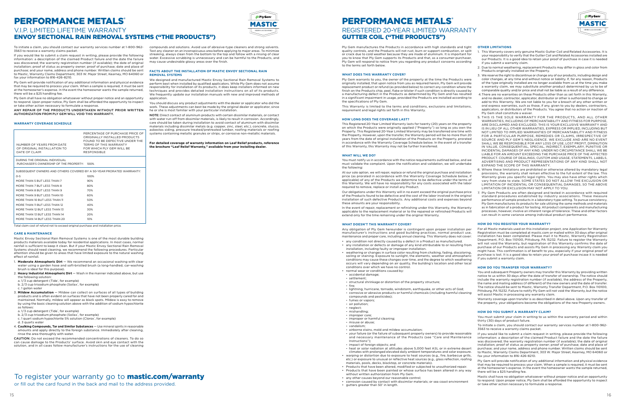To initiate a claim, you should contact our warranty services number at 1-800-962- 3563 to receive a warranty claims packet.

If you would like to submit a claim request in writing, please provide the following information: a description of the claimed Product failure and the date the failure was discovered; the warranty registration number (if available); the date of original installation; proof of status as property owner; proof of purchase; date and place of purchase; and your name, address and phone number. Written claims should be sent to Mastic, Warranty Claims Department, 303 W. Major Street, Kearney, MO 64060 or fax your information to 816-426-8210.

Ply Gem will provide notification of any additional information and physical evidence that may be required to process your claim. When a sample is required, it must be sent at the homeowner's expense. In the event the homeowner wants the sample returned, there will be a \$25 handling fee.

Ply Gem shall have no obligation whatsoever without proper notice and an opportunity to respond. Upon proper notice, Ply Gem shall be afforded the opportunity to inspect or take other action necessary to formulate a response.

ANY REPAIR OF THE PRODUCTS UNDERTAKEN WITHOUT PRIOR WRITTEN AUTHORIZATION FROM PLY GEM WILL VOID THIS WARRANTY.

#### **WARRANTY COVERAGE SCHEDULE**

Total claim cost of refund not to exceed original purchase and installation price.

#### **CARE & MAINTENANCE**

Mastic Envoy Sectional Rain Removal Systems is one of the most durable building products materials available today for residential applications. In most cases, normal rainfall is sufficient to keep it clean. But if your Mastic Envoy Sectional Rain Removal Systems should need cleaning, we recommend the following procedures. Particular attention should be given to areas that have limited exposure to the natural washing effect of rainfall.

- 1. **Moderate Atmospheric Dirt** We recommend an occasional washing with clear water using a garden hose and soft-bristled brush (a long-handled, car-washing brush is ideal for this purpose).
- 2. **Heavy Industrial Atmospheric Dirt** Wash in the manner indicated above, but use the following solution:
- a. 1/3 cup detergent (Tide<sup>\*</sup>, for example)
- b. 2/3 cup trisodium phosphate (Soilax', for example)
- c. 1 gallon water
- 3. **Mildew Accumulation** Mildew can collect on surfaces of all types of building products and is often evident on surfaces that have not been properly cared for and maintained. Normally, mildew will appear as black spots. Mildew is easy to remove by using the basic cleaning solution above with the addition of sodium hypochlorite as follows:
- a. 1/3 cup detergent (Tide", for example)
- b. 2/3 cup trisodium phosphate (Soilax<sup>\*</sup>, for example)
- c. 1 quart sodium hypochlorite 5% solution (Clorox', for example) d. 3 quarts water
- 4. **Caulking Compounds, Tar and Similar Substances** Use mineral spirits in reasonable amounts and apply directly to the foreign substance. Immediately after cleaning, rinse the area thoroughly with water.

CAUTION: Do not exceed the recommended concentrations of cleaners. To do so can cause damage to the Products' surface. Avoid skin and eye contact with the solution, and in all cases follow manufacturer's instructions for the use of cleaning

# To register your warranty go to **mastic.com/warranty**

compounds and solutions. Avoid use of abrasive-type cleaners and strong solvents. Test any cleaner on an inconspicuous area before applying to major areas. To minimize streaking, always clean from the bottom to the top and follow with a rinsing of clear water. Excessive scrubbing is unnecessary and can be harmful to the Products, and

> At our sole option, we will repair, replace or refund the original purchase and installation price (as prorated in accordance with the Warranty Coverage Schedule below, if applicable) of any of the Products we determine to be defective under the terms of this Warranty. We will have no responsibility for any costs associated with the labor required to remove, replace or install any Product.

may cause undesirable glossy areas over the finish.

**FACTS ABOUT THE INSTALLATION OF MASTIC ENVOY SECTIONAL RAIN** 

**REMOVAL SYSTEMS**

- any condition not directly caused by a defect in a Product as manufactured. • any installation or defects or damage of any kind attributable to or resulting from installation, including faulty or improper installation.
- weathering or changes in surface color resulting from chalking, fading, discoloring, soiling or staining. Exposure to sunlight, the elements, weather and atmospheric conditions may cause these changes over time, and the degree to which weathering occurs will vary depending on air quality, the building's location and other local conditions over which we have no control.
- normal wear or conditions caused by:
- accidental damage;
- settlement;
- structural shrinkage or distortion of the property structure;
- fire;
- lightning, hurricane, tornado, windstorm, earthquake, or other acts of God; - corrosive or abrasive products or harmful chemicals (including harmful cleaning compounds and pesticides);
- fumes or vapors;
- air pollution;
- neglect;
- mishandling;
- improper care; - improper or harmful cleaning;
- misuse or abuse;
- vandalism;
- airborne stains, mold and mildew accumulation;
- your failure (or the failure of subsequent property owners) to provide reasonable and necessary maintenance of the Products (see "Care and Maintenance Instructions");
- impact of foreign objects; and
- heat or solar radiation at altitudes above 5,000 feet ASL or in extreme desert climates with prolonged elevated daily ambient temperatures and solar exposure. • warping or distortion due to exposure to heat sources (e.g., fire, barbecue grills,
- etc.) or exposure to unusual or reflective heat sources (e.g., glass reflection, roofing materials, pools, decks, blacktop, or concrete materials). • Products that have been altered, modified or subjected to unauthorized repair.
- Products that have been painted or whose surface has been altered in any way
- without written authorization from Ply Gem.
- any other causes beyond our reasonable control;
- corrosion caused by contact with dissimilar materials; or sea coast environment • qutters greater than 50' in length.

We designed and manufactured Mastic Envoy Sectional Rain Removal Systems to perform best when installed by qualified applicators. While Ply Gem does not assume responsibility for installation of its products, it does keep installers informed on new techniques and provides detailed installation instructions on all of its products. We frequently update our installation manuals with new and improved methods of

application.

You should discuss any product adjustments with the dealer or applicator who did the work. These adjustments can best be made by the original dealer or applicator, since he or she is most familiar with your particular installation. NOTE: Direct contact of aluminum products with certain dissimilar materials, or contact

with water run-off from dissimilar materials, is likely to result in corrosion. Accordingly, care should be taken during installation to avoid contact of aluminum with dissimilar materials including dissimilar metals (e.g. copper, zinc, steel, etc.), concrete, stucco, asbestos siding, pressure treated/pretreated lumber, roofing materials or roofing systems containing metallic granules or strips, or corrosive non-metallic materials.

**For detailed coverage of warranty information on Leaf Relief products, reference the brochure "Leaf Relief Warranty," available from your installing dealer.**





Ply Gem manufactures the Products in accordance with high standards and tight quality controls, and the Products will not rust, burn or support combustion, or split or crack due to cold weather because they are made of aluminum. It is important for you to know that Ply Gem supports its Products and that, as a consumer-purchaser, Ply Gem will respond to notice from you regarding any product concerns according to the terms set forth below.

#### **WHAT DOES THIS WARRANTY COVER?**

Ply Gem warrants to you, the owner of the property at the time the Products were originally installed, that upon notice from you as required herein, Ply Gem will provide replacement product or refund (as provided below) to correct any condition where the finish on the Products chip, peel, flake or blister if such condition is directly caused by a manufacturing defect in the Products as determined by Ply Gem and has resulted in a significant impairment in usage, provided the Products are installed according to the specifications of Ply Gem.

This Warranty is limited to the terms and conditions, exclusions and limitations, requirement and legal rights set forth in this Warranty.

#### **HOW LONG DOES THE COVERAGE LAST?**

This Registered 20-Year Limited Warranty lasts for twenty (20) years on the property on which the Products were originally applied ("Property") so long as you own the Property. This Registered 20-Year Limited Warranty may be transferred one time with the Property. However, upon the transfer, the Warranty period will be no more than 20 years from the date of original installation of the Products on the Property, prorated in accordance with the Warranty Coverage Schedule below. In the event of a transfer of this Warranty, this Warranty may not be further transferred.

#### **WHAT WILL WE DO?**

You must notify us in accordance with the notice requirements outlined below, and we must validate the complaint. Upon the notification and validation, we will undertake the following:

> te a claim, you should contact our warranty services number at 1-800-96 3563 to receive a warranty claims packet.

Our obligations under this Warranty will in no event exceed the original purchase price of the Products found to be defective and the cost of the labor involved in the original installation of such defective Products. Any additional costs and expenses beyond these amounts are your responsibility.

In the event of repair, replacement or refinishing under this Warranty, the Warranty applicable to the replacement material or to the repaired or refinished Products will extend only for the time remaining under the original Warranty.

#### **WHAT DOESN'T THIS WARRANTY COVER?**

# PERFORMANCE METALS® REGISTERED 20-YEAR LIMITED WARRANTY GUTTER COIL ("THE PRODUCTS")

Any obligation of Ply Gem hereunder is contingent upon proper installation per manufacturer's instructions and good building practices, normal product use, maintenance and proper care, including annual cleaning. This Warranty does not cover:

| PERCENTAGE OF PURCHASE PRICE OF<br>ORIGINALLY INSTALLED PRODUCTS<br>FOUND TO BE DEFECTIVE UNDER THE<br>TERMS OF THIS WARRANTY<br>FOR WHICH PLY GEM WILL BE<br><b>RESPONSIBLE</b> |
|----------------------------------------------------------------------------------------------------------------------------------------------------------------------------------|
| PURCHASER'S OWNERSHIP OF THE PROPERTY:<br>100%                                                                                                                                   |
| SUBSEQUENT OWNERS AND OTHERS COVERED BY A 50-YEAR PRORATED WARRANTY:                                                                                                             |
| 100%                                                                                                                                                                             |
| 90%                                                                                                                                                                              |
| 80%                                                                                                                                                                              |
| 70%                                                                                                                                                                              |
| 60%                                                                                                                                                                              |
| 50%                                                                                                                                                                              |
| 40%                                                                                                                                                                              |
| 30%                                                                                                                                                                              |
| 20%                                                                                                                                                                              |
| 10%                                                                                                                                                                              |
|                                                                                                                                                                                  |

#### **OTHER LIMITATIONS**

- 1. This Warranty covers only genuine Mastic Gutter Coil and Related Accessories. It is your responsibility to verify that the Gutter Coil and Related Accessories installed are our Products. It is a good idea to retain your proof of purchase in case it is needed if you submit a warranty claim.
- 2. Due to normal weathering, replacement Products may differ in gloss and color from Products originally installed on the Property.
- 3. We reserve the right to discontinue or change any of our products, including design and color changes, at any time and without notice or liability. If, for any reason, Products of the type originally installed are no longer available from us at the time you make a warranty claim, we may substitute another product determined by us to be of comparable quality and/or price and shall not be liable as a result of any difference.
- 4.There are no warranties on these Products other than as set forth in this Warranty, and no dealer, contractor, applicator, distributor or other is authorized to change or add to this Warranty. We are not liable to you for a breach of any other written or oral express warranties, such as those, if any, given to you by dealers, contractors, applicators, or distributors of the Products. You agree that no action or inaction of Ply Gem shall constitute a waiver.
- 5. THIS IS THE SOLE WARRANTY FOR THE PRODUCTS, AND ALL OTHER WARRANTIES, INCLUDING OF MERCHANTABILITY AND FITNESS FOR PURPOSE, ARE DISCLAIMED AND EXCLUDED. THIS IS YOUR EXCLUSIVE WARRANTY AND IS IN LIEU OF ALL OTHER WARRANTIES, EXPRESS OR IMPLIED, INCLUDING BUT NOT LIMITED TO IMPLIED WARRANTIES OF MERCHANTABILITY AND FITNESS FOR A PARTICULAR PURPOSE, REMEDIES OR CLAIMS, IRRESPECTIVE OF SOURCE AND PLY GEM'S NEGLIGENCE. WE EXCLUDE AND ARE NO EVENT SHALL WE BE RESPONSIBLE FOR ANY LOSS OF USE, LOST PROFIT, DIMINUTION IN VALUE, CONSEQUENTIAL, SPECIAL, INDIRECT, EXEMPLARY, PUNITIVE OR INCIDENTAL DAMAGES OF ANY KIND. UNDER NO CIRCUMSTANCE SHALL WE BE LIABLE FOR AN AMOUNT EXCEEDING THE PURCHASE PRICE OF THE AFFECTED PRODUCT. COURSE OF DEALINGS, CUSTOM AND USAGE, STATEMENTS, LABELS, ADVERTISING AND PRODUCT REPRESENTATIONS OF ANY KIND SHALL NOT EXPAND THE SCOPE OF THIS WARRANTY.
- 6. Where these limitations are prohibited or otherwise altered by mandatory legal provisions, the warranty shall remain effective to the full extent of the law. This Warranty gives you specific legal rights. You may also have other rights which vary from state to state. SOME STATES DO NOT ALLOW THE EXCLUSION OR LIMITATION OF INCIDENTAL OR CONSEQUENTIAL DAMAGES, SO THE ABOVE LIMITATION OR EXCLUSION MAY NOT APPLY TO YOU.
- 7. Ply Gem Products are often designed and tested in accordance with required standard procedures established by industry associations. These measure performance of sample products in a laboratory-type setting. To pursue consistency, Ply Gem manufactures its products for sale utilizing the same methods and materials as in fabrication of a product for testing. All product components and manufacturing processes, however, involve an inherent range of tolerance. These and other factors can result in some variance among individual product performance.

#### **HOW DO YOU REGISTER YOUR WARRANTY?**

For all Mastic materials used on this installation project, one Application for Warranty Registration must be completed at mastic.com or mailed within 30 days after original installation has been completed. Please mail it to Mastic, Warranty Registration Department, P.O. Box 110100, Pittsburg, PA 15232. Failure to register the Warranty will not void the Warranty, but registration of this Warranty confirms the date of purchase of our Products and assists Ply Gem in processing any Warranty claim you might have. This confirmation is of benefit to you, especially if your original proof of purchase is lost. It is a good idea to retain your proof of purchase incase it is needed if you submit a warranty claim.

#### **HOW DO YOU TRANSFER YOUR WARRANTY?**

You and subsequent Property owners may transfer this Warranty by providing written notice to us within 30 days after the date of transfer of ownership. The notice should include the warranty registration number (if available), the address of the Property, the name and mailing address (if different) of the new owners and the date of transfer. The notice should be sent to Mastic, Warranty Transfer Department, P.O. Box 110100, Pittsburg, PA 15232. Failure to notify Ply Gem will not void the Warranty, but the notice will assist Mastic in processing any warranty claim.

Warranty coverage upon transfer is as described in detail above. Upon any transfer of the property, your obligations become the obligations of the new Property owners.

| <b>HOW DO YOU SUBMIT A WARRANTY CLAIM?</b>                                                                                |
|---------------------------------------------------------------------------------------------------------------------------|
| You must submit your claim in writing to us within the warranty period and within<br>thirty (30) days of product failure. |
| To initiate a claim, you should contact our warranty services number at 1-800-862-                                        |

If you would like to submit a claim request in writing, please provide the following information: a description of the claimed Product failure and the date the failure was discovered; the warranty registration number (if available); the date of original nstallation; proof of status as property owner; proof of purchase; date and place of purchase; and your name, address and phone number. Written claims should be sent to Mastic, Warranty Claims Department, 303 W. Major Street, Kearney, MO 64060 or fax your information to 816-426-8210.

Ply Gem will provide notification of any additional information and physical evidence that may be required to process your claim. When a sample is required, it must be sent at the homeowner's expense. In the event the homeowner wants the sample returned, there will be a \$25 handling fee.

Mastic shall have no obligation whatsoever without proper notice and an opportunity to respond. Upon proper notice, Ply Gem shall be afforded the opportunity to inspect or take other action necessary to formulate a response.

# PERFORMANCE METALS®

## V.I.P. LIMITED LIFETIME WARRANTY ENVOY SECTIONAL RAIN REMOVAL SYSTEMS ("THE PRODUCTS")

or fill out the card found in the back and mail to the address provided.

**∕** Ply Gem MASTIC